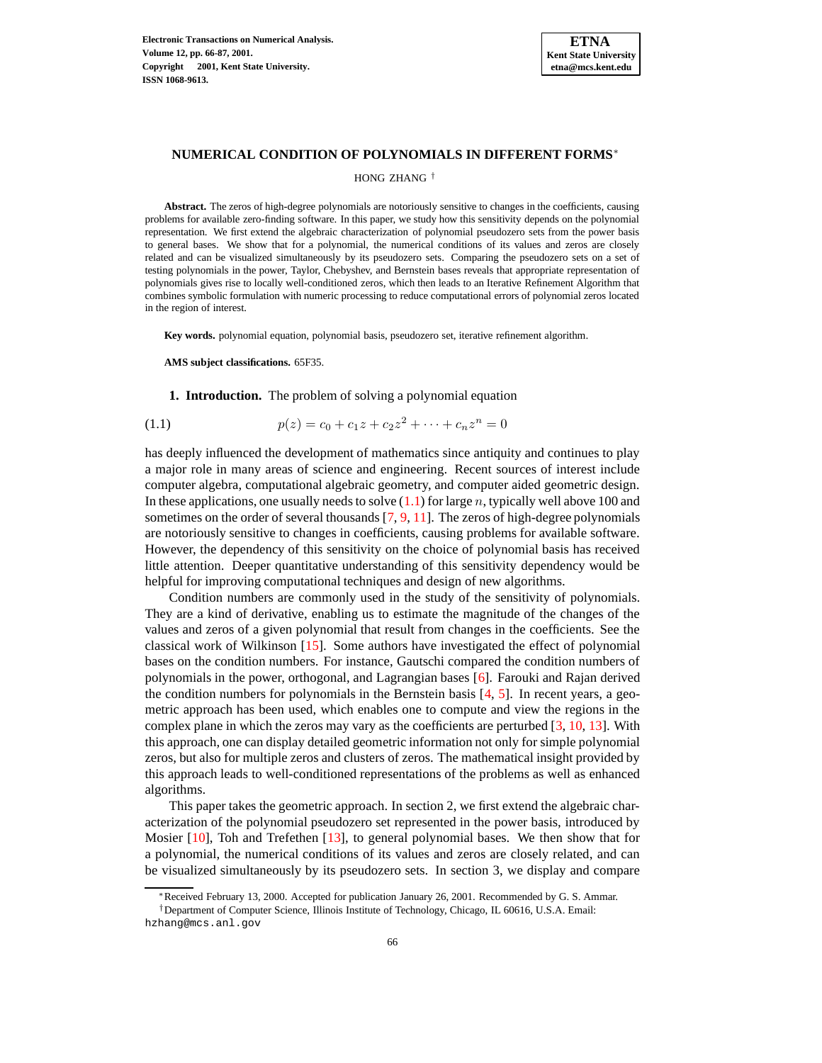

#### **NUMERICAL CONDITION OF POLYNOMIALS IN DIFFERENT FORMS**<sup>∗</sup>

### HONG ZHANG †

**Abstract.** The zeros of high-degree polynomials are notoriously sensitive to changes in the coefficients, causing problems for available zero-finding software. In this paper, we study how this sensitivity depends on the polynomial representation. We first extend the algebraic characterization of polynomial pseudozero sets from the power basis to general bases. We show that for a polynomial, the numerical conditions of its values and zeros are closely related and can be visualized simultaneously by its pseudozero sets. Comparing the pseudozero sets on a set of testing polynomials in the power, Taylor, Chebyshev, and Bernstein bases reveals that appropriate representation of polynomials gives rise to locally well-conditioned zeros, which then leads to an Iterative Refinement Algorithm that combines symbolic formulation with numeric processing to reduce computational errors of polynomial zeros located in the region of interest.

**Key words.** polynomial equation, polynomial basis, pseudozero set, iterative refinement algorithm.

**AMS subject classifications.** 65F35.

#### <span id="page-0-0"></span>**1. Introduction.** The problem of solving a polynomial equation

(1.1) 
$$
p(z) = c_0 + c_1 z + c_2 z^2 + \dots + c_n z^n = 0
$$

has deeply influenced the development of mathematics since antiquity and continues to play a major role in many areas of science and engineering. Recent sources of interest include computer algebra, computational algebraic geometry, and computer aided geometric design. In these applications, one usually needs to solve  $(1.1)$  for large n, typically well above 100 and sometimes on the order of several thousands  $[7, 9, 11]$  $[7, 9, 11]$  $[7, 9, 11]$  $[7, 9, 11]$  $[7, 9, 11]$ . The zeros of high-degree polynomials are notoriously sensitive to changes in coefficients, causing problems for available software. However, the dependency of this sensitivity on the choice of polynomial basis has received little attention. Deeper quantitative understanding of this sensitivity dependency would be helpful for improving computational techniques and design of new algorithms.

Condition numbers are commonly used in the study of the sensitivity of polynomials. They are a kind of derivative, enabling us to estimate the magnitude of the changes of the values and zeros of a given polynomial that result from changes in the coefficients. See the classical work of Wilkinson [\[15\]](#page-10-3). Some authors have investigated the effect of polynomial bases on the condition numbers. For instance, Gautschi compared the condition numbers of polynomials in the power, orthogonal, and Lagrangian bases [\[6\]](#page-10-4). Farouki and Rajan derived the condition numbers for polynomials in the Bernstein basis  $[4, 5]$  $[4, 5]$  $[4, 5]$ . In recent years, a geometric approach has been used, which enables one to compute and view the regions in the complex plane in which the zeros may vary as the coefficients are perturbed [\[3,](#page-10-7) [10,](#page-10-8) [13\]](#page-10-9). With this approach, one can display detailed geometric information not only for simple polynomial zeros, but also for multiple zeros and clusters of zeros. The mathematical insight provided by this approach leads to well-conditioned representations of the problems as well as enhanced algorithms.

This paper takes the geometric approach. In section 2, we first extend the algebraic characterization of the polynomial pseudozero set represented in the power basis, introduced by Mosier [\[10\]](#page-10-8), Toh and Trefethen [\[13\]](#page-10-9), to general polynomial bases. We then show that for a polynomial, the numerical conditions of its values and zeros are closely related, and can be visualized simultaneously by its pseudozero sets. In section 3, we display and compare

<sup>∗</sup>Received February 13, 2000. Accepted for publication January 26, 2001. Recommended by G. S. Ammar.

<sup>†</sup>Department of Computer Science, Illinois Institute of Technology, Chicago, IL 60616, U.S.A. Email: hzhang@mcs.anl.gov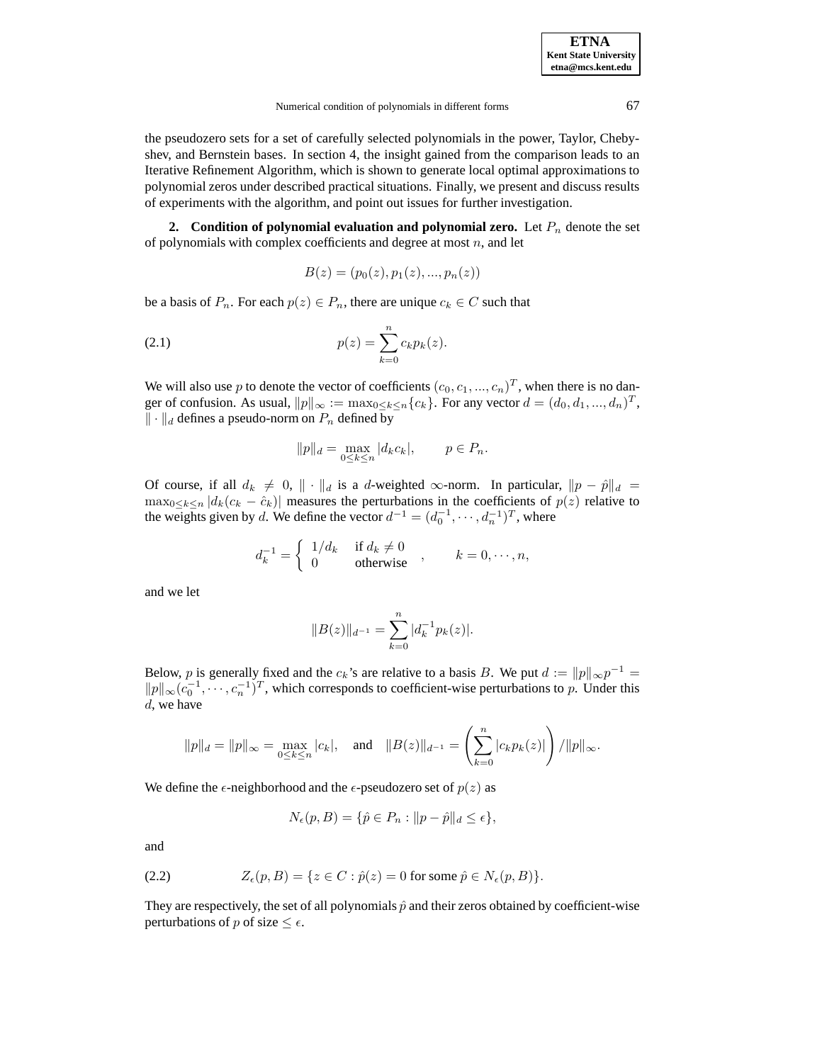the pseudozero sets for a set of carefully selected polynomials in the power, Taylor, Chebyshev, and Bernstein bases. In section 4, the insight gained from the comparison leads to an Iterative Refinement Algorithm, which is shown to generate local optimal approximations to polynomial zeros under described practical situations. Finally, we present and discuss results of experiments with the algorithm, and point out issues for further investigation.

**2. Condition of polynomial evaluation and polynomial zero.** Let  $P_n$  denote the set of polynomials with complex coefficients and degree at most  $n$ , and let

<span id="page-1-1"></span>
$$
B(z) = (p_0(z), p_1(z), ..., p_n(z))
$$

be a basis of  $P_n$ . For each  $p(z) \in P_n$ , there are unique  $c_k \in C$  such that

(2.1) 
$$
p(z) = \sum_{k=0}^{n} c_k p_k(z).
$$

We will also use p to denote the vector of coefficients  $(c_0, c_1, ..., c_n)^T$ , when there is no danger of confusion. As usual,  $||p||_{\infty} := \max_{0 \le k \le n} \{c_k\}$ . For any vector  $d = (d_0, d_1, ..., d_n)^T$ ,  $\|\cdot\|_d$  defines a pseudo-norm on  $P_n$  defined by

$$
||p||_d = \max_{0 \le k \le n} |d_k c_k|, \qquad p \in P_n.
$$

Of course, if all  $d_k \neq 0$ ,  $\|\cdot\|_d$  is a d-weighted ∞-norm. In particular,  $\|p - \hat{p}\|_d =$  $\max_{0 \le k \le n} |d_k(c_k - \hat{c}_k)|$  measures the perturbations in the coefficients of  $p(z)$  relative to the weights given by d. We define the vector  $d^{-1} = (d_0^{-1}, \dots, d_n^{-1})^T$ , where

$$
d_k^{-1} = \begin{cases} 1/d_k & \text{if } d_k \neq 0 \\ 0 & \text{otherwise} \end{cases}, \qquad k = 0, \dots, n,
$$

and we let

$$
||B(z)||_{d^{-1}} = \sum_{k=0}^{n} |d_k^{-1} p_k(z)|.
$$

Below, p is generally fixed and the  $c_k$ 's are relative to a basis B. We put  $d := ||p||_{\infty}p^{-1} =$  $||p||_{\infty}$  ( $c_0^{-1}$ , · · · ,  $c_n^{-1}$ )<sup>T</sup>, which corresponds to coefficient-wise perturbations to p. Under this d, we have

$$
||p||_d = ||p||_{\infty} = \max_{0 \le k \le n} |c_k|
$$
, and  $||B(z)||_{d^{-1}} = \left(\sum_{k=0}^n |c_k p_k(z)|\right) / ||p||_{\infty}$ .

We define the  $\epsilon$ -neighborhood and the  $\epsilon$ -pseudozero set of  $p(z)$  as

$$
N_{\epsilon}(p, B) = \{ \hat{p} \in P_n : ||p - \hat{p}||_d \le \epsilon \},
$$

and

(2.2) 
$$
Z_{\epsilon}(p, B) = \{z \in C : \hat{p}(z) = 0 \text{ for some } \hat{p} \in N_{\epsilon}(p, B)\}.
$$

<span id="page-1-0"></span>They are respectively, the set of all polynomials  $\hat{p}$  and their zeros obtained by coefficient-wise perturbations of p of size  $\leq \epsilon$ .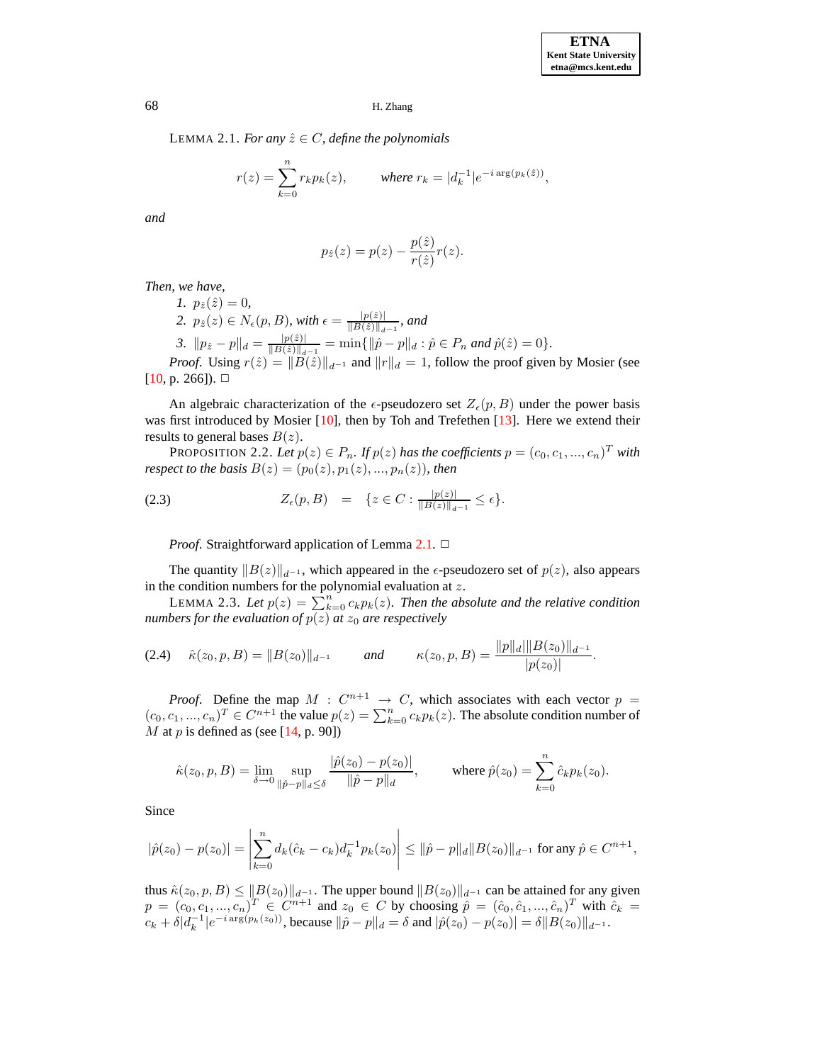LEMMA 2.1. *For any*  $\hat{z} \in C$ *, define the polynomials* 

$$
r(z) = \sum_{k=0}^{n} r_k p_k(z), \qquad \text{where } r_k = |d_k^{-1}| e^{-i \arg(p_k(\hat{z}))},
$$

*and*

$$
p_{\hat{z}}(z) = p(z) - \frac{p(\hat{z})}{r(\hat{z})}r(z).
$$

*Then, we have,*

*1.*  $p_{\hat{z}}(\hat{z}) = 0$ , 2.  $p_{\hat{z}}(z) \in N_{\epsilon}(p, B)$ , with  $\epsilon = \frac{|p(\hat{z})|}{\|B(\hat{z})\|}$ .  $\frac{|p(z)|}{\|B(\hat{z})\|_{d^{-1}}}$ , and 3.  $\|p_{\hat{z}} - p\|_d = \frac{|p(\hat{z})|}{\|B(\hat{z})\|}$ .  $\frac{|p(z)|}{\|B(\hat{z})\|_{a^{-1}}} = \min\{\|\hat{p}-p\|_{a} : \hat{p} \in P_n \text{ and } \hat{p}(\hat{z}) = 0\}.$ 

*Proof.* Using  $r(\hat{z}) = ||\tilde{B}(\hat{z})||_{d^{-1}}$  and  $||r||_d = 1$ , follow the proof given by Mosier (see  $[10, p. 266]$  $[10, p. 266]$ .  $\Box$ 

An algebraic characterization of the  $\epsilon$ -pseudozero set  $Z_{\epsilon}(p, B)$  under the power basis was first introduced by Mosier [\[10\]](#page-10-8), then by Toh and Trefethen [\[13\]](#page-10-9). Here we extend their results to general bases  $B(z)$ .

<span id="page-2-0"></span>PROPOSITION 2.2. Let  $p(z) \in P_n$ . If  $p(z)$  has the coefficients  $p = (c_0, c_1, ..., c_n)^T$  with *respect to the basis*  $B(z) = (p_0(z), p_1(z), ..., p_n(z))$ *, then* 

$$
(2.3) \t Z_{\epsilon}(p,B) = \{z \in C : \frac{|p(z)|}{\|B(z)\|_{d^{-1}}} \leq \epsilon\}.
$$

*Proof.* Straightforward application of Lemma [2.1.](#page-1-0) □

The quantity  $||B(z)||_{d^{-1}}$ , which appeared in the  $\epsilon$ -pseudozero set of  $p(z)$ , also appears in the condition numbers for the polynomial evaluation at  $z$ .

<span id="page-2-1"></span>LEMMA 2.3. Let  $p(z) = \sum_{k=0}^{n} c_k p_k(z)$ . Then the absolute and the relative condition *numbers for the evaluation of*  $p(z)$  *at*  $z_0$  *are respectively* 

<span id="page-2-2"></span>
$$
(2.4) \quad \hat{\kappa}(z_0,p,B) = \|B(z_0)\|_{d^{-1}} \qquad \text{and} \qquad \kappa(z_0,p,B) = \frac{\|p\|_d \|\|B(z_0)\|_{d^{-1}}}{|p(z_0)|}.
$$

*Proof.* Define the map  $M : C^{n+1} \rightarrow C$ , which associates with each vector  $p =$  $(c_0, c_1, ..., c_n)^T \in C^{n+1}$  the value  $p(z) = \sum_{k=0}^n c_k p_k(z)$ . The absolute condition number of  $M$  at  $p$  is defined as (see [\[14,](#page-10-10) p. 90])

$$
\hat{\kappa}(z_0, p, B) = \lim_{\delta \to 0} \sup_{\|\hat{p} - p\|_d \le \delta} \frac{|\hat{p}(z_0) - p(z_0)|}{\|\hat{p} - p\|_d}, \quad \text{where } \hat{p}(z_0) = \sum_{k=0}^n \hat{c}_k p_k(z_0).
$$

Since

$$
|\hat{p}(z_0) - p(z_0)| = \left| \sum_{k=0}^n d_k(\hat{c}_k - c_k) d_k^{-1} p_k(z_0) \right| \le ||\hat{p} - p||_d ||B(z_0)||_{d^{-1}} \text{ for any } \hat{p} \in C^{n+1},
$$

thus  $\hat{\kappa}(z_0, p, B) \leq \|B(z_0)\|_{d^{-1}}$ . The upper bound  $\|B(z_0)\|_{d^{-1}}$  can be attained for any given  $p = (c_0, c_1, ..., c_n)^T \in C^{n+1}$  and  $z_0 \in C$  by choosing  $\hat{p} = (\hat{c}_0, \hat{c}_1, ..., \hat{c}_n)^T$  with  $\hat{c}_k =$  $c_k + \delta |d_k^{-1}| e^{-i \arg(p_k(z_0))}$ , because  $\|\hat{p} - p\|_d = \delta$  and  $|\hat{p}(z_0) - p(z_0)| = \delta \|B(z_0)\|_{d^{-1}}$ .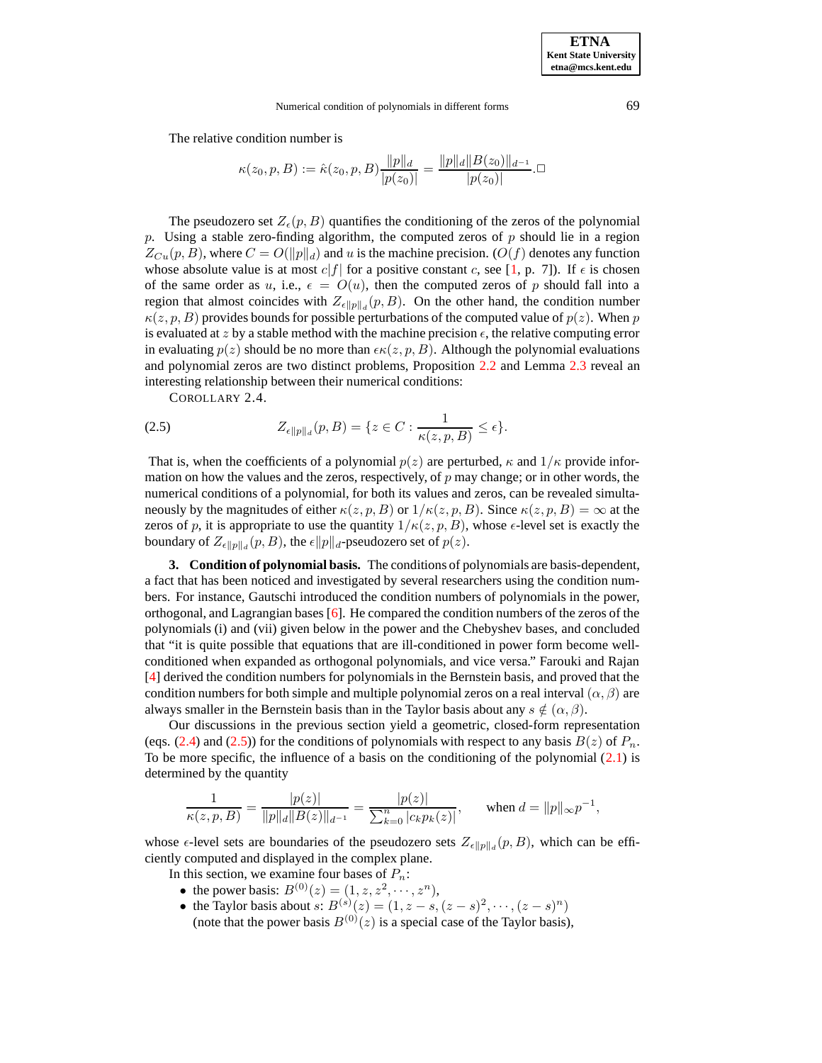The relative condition number is

$$
\kappa(z_0, p, B) := \hat{\kappa}(z_0, p, B) \frac{\|p\|_d}{|p(z_0)|} = \frac{\|p\|_d \|B(z_0)\|_{d^{-1}}}{|p(z_0)|}.\Box
$$

The pseudozero set  $Z_{\epsilon}(p, B)$  quantifies the conditioning of the zeros of the polynomial p. Using a stable zero-finding algorithm, the computed zeros of p should lie in a region  $Z_{Cu}(p, B)$ , where  $C = O(||p||_d)$  and u is the machine precision.  $(O(f))$  denotes any function whose absolute value is at most  $c|f|$  for a positive constant c, see [\[1,](#page-10-11) p. 7]). If  $\epsilon$  is chosen of the same order as u, i.e.,  $\epsilon = O(u)$ , then the computed zeros of p should fall into a region that almost coincides with  $Z_{\epsilon \|p\|_d}(p, B)$ . On the other hand, the condition number  $\kappa(z, p, B)$  provides bounds for possible perturbations of the computed value of  $p(z)$ . When p is evaluated at z by a stable method with the machine precision  $\epsilon$ , the relative computing error in evaluating  $p(z)$  should be no more than  $\epsilon \kappa(z, p, B)$ . Although the polynomial evaluations and polynomial zeros are two distinct problems, Proposition [2.2](#page-2-0) and Lemma [2.3](#page-2-1) reveal an interesting relationship between their numerical conditions:

<span id="page-3-0"></span>COROLLARY 2.4.

$$
(2.5) \t Z_{\epsilon \|p\|_d}(p, B) = \{z \in C : \frac{1}{\kappa(z, p, B)} \le \epsilon\}.
$$

That is, when the coefficients of a polynomial  $p(z)$  are perturbed,  $\kappa$  and  $1/\kappa$  provide information on how the values and the zeros, respectively, of  $p$  may change; or in other words, the numerical conditions of a polynomial, for both its values and zeros, can be revealed simultaneously by the magnitudes of either  $\kappa(z, p, B)$  or  $1/\kappa(z, p, B)$ . Since  $\kappa(z, p, B) = \infty$  at the zeros of p, it is appropriate to use the quantity  $1/\kappa(z, p, B)$ , whose  $\epsilon$ -level set is exactly the boundary of  $Z_{\epsilon \|p\|_d}(p,B)$ , the  $\epsilon \|p\|_d$ -pseudozero set of  $p(z)$ .

**3. Condition of polynomial basis.** The conditions of polynomials are basis-dependent, a fact that has been noticed and investigated by several researchers using the condition numbers. For instance, Gautschi introduced the condition numbers of polynomials in the power, orthogonal, and Lagrangian bases [\[6\]](#page-10-4). He compared the condition numbers of the zeros of the polynomials (i) and (vii) given below in the power and the Chebyshev bases, and concluded that "it is quite possible that equations that are ill-conditioned in power form become wellconditioned when expanded as orthogonal polynomials, and vice versa." Farouki and Rajan [\[4\]](#page-10-5) derived the condition numbers for polynomials in the Bernstein basis, and proved that the condition numbers for both simple and multiple polynomial zeros on a real interval  $(\alpha, \beta)$  are always smaller in the Bernstein basis than in the Taylor basis about any  $s \notin (\alpha, \beta)$ .

Our discussions in the previous section yield a geometric, closed-form representation (eqs. [\(2.4\)](#page-2-2) and [\(2.5\)](#page-3-0)) for the conditions of polynomials with respect to any basis  $B(z)$  of  $P_n$ . To be more specific, the influence of a basis on the conditioning of the polynomial [\(2.1\)](#page-1-1) is determined by the quantity

$$
\frac{1}{\kappa(z,p,B)} = \frac{|p(z)|}{\|p\|_d \|B(z)\|_{d^{-1}}} = \frac{|p(z)|}{\sum_{k=0}^n |c_k p_k(z)|}, \quad \text{when } d = \|p\|_{\infty} p^{-1},
$$

whose  $\epsilon$ -level sets are boundaries of the pseudozero sets  $Z_{\epsilon \|p\|_d}(p, B)$ , which can be efficiently computed and displayed in the complex plane.

In this section, we examine four bases of  $P_n$ :

- the power basis:  $B^{(0)}(z) = (1, z, z^2, \dots, z^n)$ ,
- the Taylor basis about  $s: B^{(s)}(z) = (1, z s, (z s)^2, \dots, (z s)^n)$ (note that the power basis  $B^{(0)}(z)$  is a special case of the Taylor basis),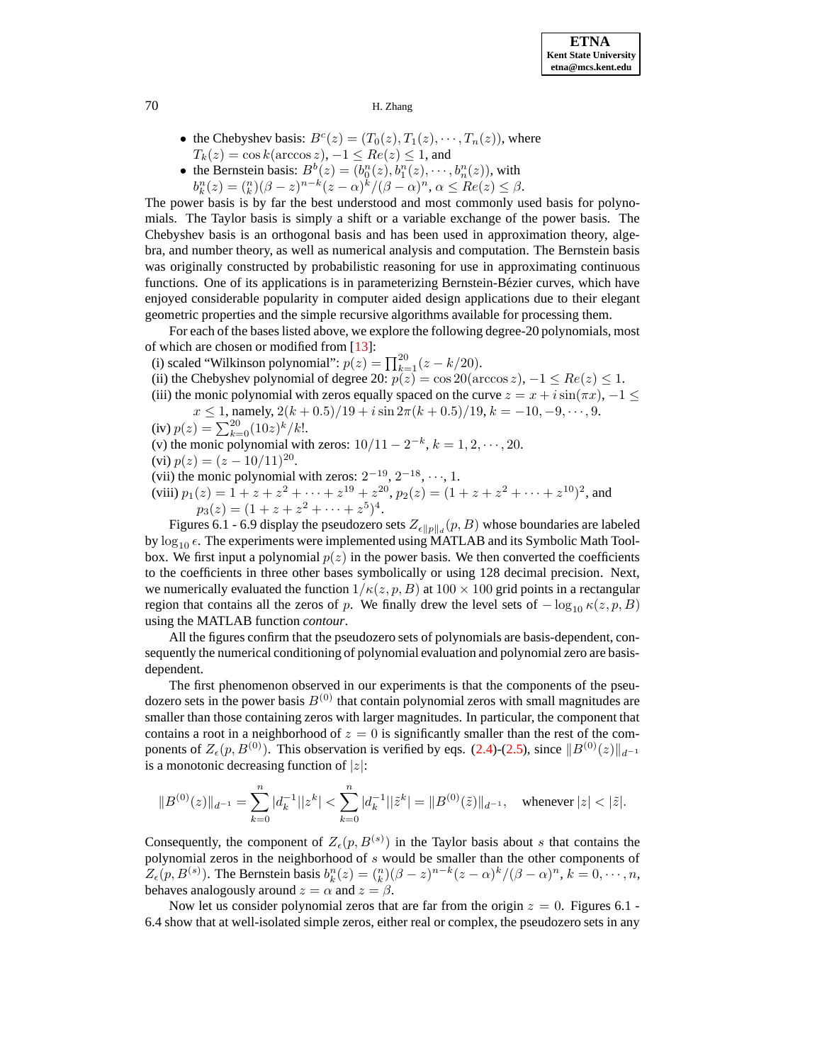- the Chebyshev basis:  $B<sup>c</sup>(z) = (T<sub>0</sub>(z), T<sub>1</sub>(z), \cdots, T<sub>n</sub>(z))$ , where  $T_k(z) = \cos k(\arccos z), -1 \leq Re(z) \leq 1$ , and
- the Bernstein basis:  $B^b(z) = (b_0^n(z), b_1^n(z), \dots, b_n^n(z))$ , with
- $b_k^n(z) = \binom{n}{k} (\beta z)^{n-k} (z \alpha)^k / (\beta \alpha)^n, \, \alpha \le Re(z) \le \beta.$

The power basis is by far the best understood and most commonly used basis for polynomials. The Taylor basis is simply a shift or a variable exchange of the power basis. The Chebyshev basis is an orthogonal basis and has been used in approximation theory, algebra, and number theory, as well as numerical analysis and computation. The Bernstein basis was originally constructed by probabilistic reasoning for use in approximating continuous functions. One of its applications is in parameterizing Bernstein-Bézier curves, which have enjoyed considerable popularity in computer aided design applications due to their elegant geometric properties and the simple recursive algorithms available for processing them.

For each of the bases listed above, we explore the following degree-20 polynomials, most of which are chosen or modified from [\[13\]](#page-10-9):

(i) scaled "Wilkinson polynomial":  $p(z) = \prod_{k=1}^{20} (z - k/20)$ .

- (ii) the Chebyshev polynomial of degree 20:  $p(z) = \cos 20(\arccos z)$ ,  $-1 \le Re(z) \le 1$ .
- (iii) the monic polynomial with zeros equally spaced on the curve  $z = x + i \sin(\pi x)$ ,  $-1 \leq$  $x \le 1$ , namely,  $2(k+0.5)/19 + i \sin 2\pi (k+0.5)/19$ ,  $k = -10, -9, \dots, 9$ .
- (iv)  $p(z) = \sum_{k=0}^{20} (10z)^k / k!$ .
- (v) the monic polynomial with zeros:  $10/11 2^{-k}$ ,  $k = 1, 2, \dots, 20$ .
- (vi)  $p(z) = (z 10/11)^{20}$ .
- (vii) the monic polynomial with zeros:  $2^{-19}$ ,  $2^{-18}$ ,  $\cdots$ , 1.
- (viii)  $p_1(z) = 1 + z + z^2 + \cdots + z^{19} + z^{20}$ ,  $p_2(z) = (1 + z + z^2 + \cdots + z^{10})^2$ , and  $p_3(z) = (1 + z + z^2 + \cdots + z^5)^4.$

Figures 6.1 - 6.9 display the pseudozero sets  $Z_{\epsilon \|p\|_d}(p, B)$  whose boundaries are labeled by  $\log_{10} \epsilon$ . The experiments were implemented using MATLAB and its Symbolic Math Toolbox. We first input a polynomial  $p(z)$  in the power basis. We then converted the coefficients to the coefficients in three other bases symbolically or using 128 decimal precision. Next, we numerically evaluated the function  $1/\kappa(z, p, B)$  at  $100 \times 100$  grid points in a rectangular region that contains all the zeros of p. We finally drew the level sets of  $-\log_{10} \kappa(z, p, B)$ using the MATLAB function *contour*.

All the figures confirm that the pseudozero sets of polynomials are basis-dependent, consequently the numerical conditioning of polynomial evaluation and polynomial zero are basisdependent.

The first phenomenon observed in our experiments is that the components of the pseudozero sets in the power basis  $B^{(0)}$  that contain polynomial zeros with small magnitudes are smaller than those containing zeros with larger magnitudes. In particular, the component that contains a root in a neighborhood of  $z = 0$  is significantly smaller than the rest of the components of  $Z_{\epsilon}(p, B^{(0)})$ . This observation is verified by eqs. [\(2.4\)](#page-2-2)-[\(2.5\)](#page-3-0), since  $||B^{(0)}(z)||_{d^{-1}}$ is a monotonic decreasing function of  $|z|$ :

$$
||B^{(0)}(z)||_{d^{-1}} = \sum_{k=0}^{n} |d_k^{-1}||z^k| < \sum_{k=0}^{n} |d_k^{-1}||\tilde{z}^k| = ||B^{(0)}(\tilde{z})||_{d^{-1}}, \quad \text{whenever } |z| < |\tilde{z}|.
$$

Consequently, the component of  $Z_{\epsilon}(p, B^{(s)})$  in the Taylor basis about s that contains the polynomial zeros in the neighborhood of s would be smaller than the other components of  $Z_{\epsilon}(p, B^{(s)})$ . The Bernstein basis  $b_k^n(z) = {n \choose k}(\beta - z)^{n-k}(z - \alpha)^k/(\beta - \alpha)^n$ ,  $k = 0, \dots, n$ , behaves analogously around  $z = \alpha$  and  $z = \beta$ .

Now let us consider polynomial zeros that are far from the origin  $z = 0$ . Figures 6.1 -6.4 show that at well-isolated simple zeros, either real or complex, the pseudozero sets in any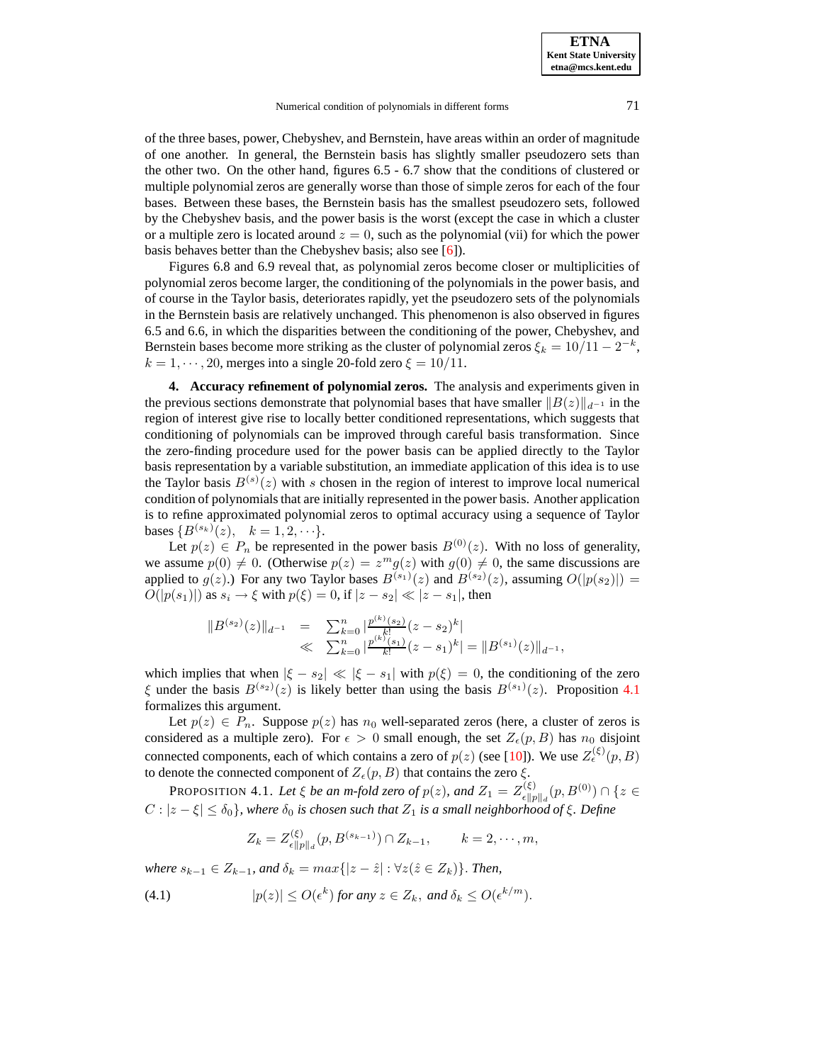of the three bases, power, Chebyshev, and Bernstein, have areas within an order of magnitude of one another. In general, the Bernstein basis has slightly smaller pseudozero sets than the other two. On the other hand, figures 6.5 - 6.7 show that the conditions of clustered or multiple polynomial zeros are generally worse than those of simple zeros for each of the four bases. Between these bases, the Bernstein basis has the smallest pseudozero sets, followed by the Chebyshev basis, and the power basis is the worst (except the case in which a cluster or a multiple zero is located around  $z = 0$ , such as the polynomial (vii) for which the power basis behaves better than the Chebyshev basis; also see [\[6\]](#page-10-4)).

Figures 6.8 and 6.9 reveal that, as polynomial zeros become closer or multiplicities of polynomial zeros become larger, the conditioning of the polynomials in the power basis, and of course in the Taylor basis, deteriorates rapidly, yet the pseudozero sets of the polynomials in the Bernstein basis are relatively unchanged. This phenomenon is also observed in figures 6.5 and 6.6, in which the disparities between the conditioning of the power, Chebyshev, and Bernstein bases become more striking as the cluster of polynomial zeros  $\xi_k = 10/11 - 2^{-k}$ ,  $k = 1, \dots, 20$ , merges into a single 20-fold zero  $\xi = 10/11$ .

**4. Accuracy refinement of polynomial zeros.** The analysis and experiments given in the previous sections demonstrate that polynomial bases that have smaller  $||B(z)||_{d^{-1}}$  in the region of interest give rise to locally better conditioned representations, which suggests that conditioning of polynomials can be improved through careful basis transformation. Since the zero-finding procedure used for the power basis can be applied directly to the Taylor basis representation by a variable substitution, an immediate application of this idea is to use the Taylor basis  $B^{(s)}(z)$  with s chosen in the region of interest to improve local numerical condition of polynomialsthat are initially represented in the power basis. Another application is to refine approximated polynomial zeros to optimal accuracy using a sequence of Taylor bases  $\{B^{(s_k)}(z), \, k=1,2,\cdots\}.$ 

Let  $p(z) \in P_n$  be represented in the power basis  $B^{(0)}(z)$ . With no loss of generality, we assume  $p(0) \neq 0$ . (Otherwise  $p(z) = z^m g(z)$  with  $g(0) \neq 0$ , the same discussions are applied to  $g(z)$ .) For any two Taylor bases  $B^{(s_1)}(z)$  and  $B^{(s_2)}(z)$ , assuming  $O(|p(s_2)|) =$  $O(|p(s_1)|)$  as  $s_i \to \xi$  with  $p(\xi) = 0$ , if  $|z - s_2| \ll |z - s_1|$ , then

$$
||B^{(s_2)}(z)||_{d^{-1}} = \sum_{k=0}^n |\frac{p^{(k)}(s_2)}{k!}(z-s_2)^k|
$$
  

$$
\ll \sum_{k=0}^n |\frac{p^{(k)}(s_1)}{k!}(z-s_1)^k| = ||B^{(s_1)}(z)||_{d^{-1}},
$$

which implies that when  $|\xi - s_2| \ll |\xi - s_1|$  with  $p(\xi) = 0$ , the conditioning of the zero  $\xi$  under the basis  $B^{(s_2)}(z)$  is likely better than using the basis  $B^{(s_1)}(z)$ . Proposition [4.1](#page-5-0) formalizes this argument.

Let  $p(z) \in P_n$ . Suppose  $p(z)$  has  $n_0$  well-separated zeros (here, a cluster of zeros is considered as a multiple zero). For  $\epsilon > 0$  small enough, the set  $Z_{\epsilon}(p, B)$  has  $n_0$  disjoint connected components, each of which contains a zero of  $p(z)$  (see [\[10\]](#page-10-8)). We use  $Z_{\epsilon}^{(\xi)}(p, B)$ to denote the connected component of  $Z_{\epsilon}(p, B)$  that contains the zero  $\xi$ .

<span id="page-5-0"></span>PROPOSITION 4.1. Let  $\xi$  *be an m-fold zero of*  $p(z)$ *, and*  $Z_1 = Z_{\text{all}}^{(\xi)}$  $\sum_{e \|p\|_d}^{(\xi)} (p, B^{(0)}) \cap \{z \in$  $C: |z - \xi| \leq \delta_0$ , where  $\delta_0$  *is chosen such that*  $Z_1$  *is a small neighborhood of*  $\xi$ . Define

$$
Z_k = Z_{\epsilon ||p||_d}^{(\xi)}(p, B^{(s_{k-1})}) \cap Z_{k-1}, \qquad k = 2, \cdots, m,
$$

*where*  $s_{k-1}$  ∈  $Z_{k-1}$ *, and*  $\delta_k = max\{|z - \hat{z}| : \forall z (\hat{z} \in Z_k)\}\$ *. Then,* 

<span id="page-5-1"></span>(4.1) 
$$
|p(z)| \le O(\epsilon^k) \text{ for any } z \in Z_k, \text{ and } \delta_k \le O(\epsilon^{k/m}).
$$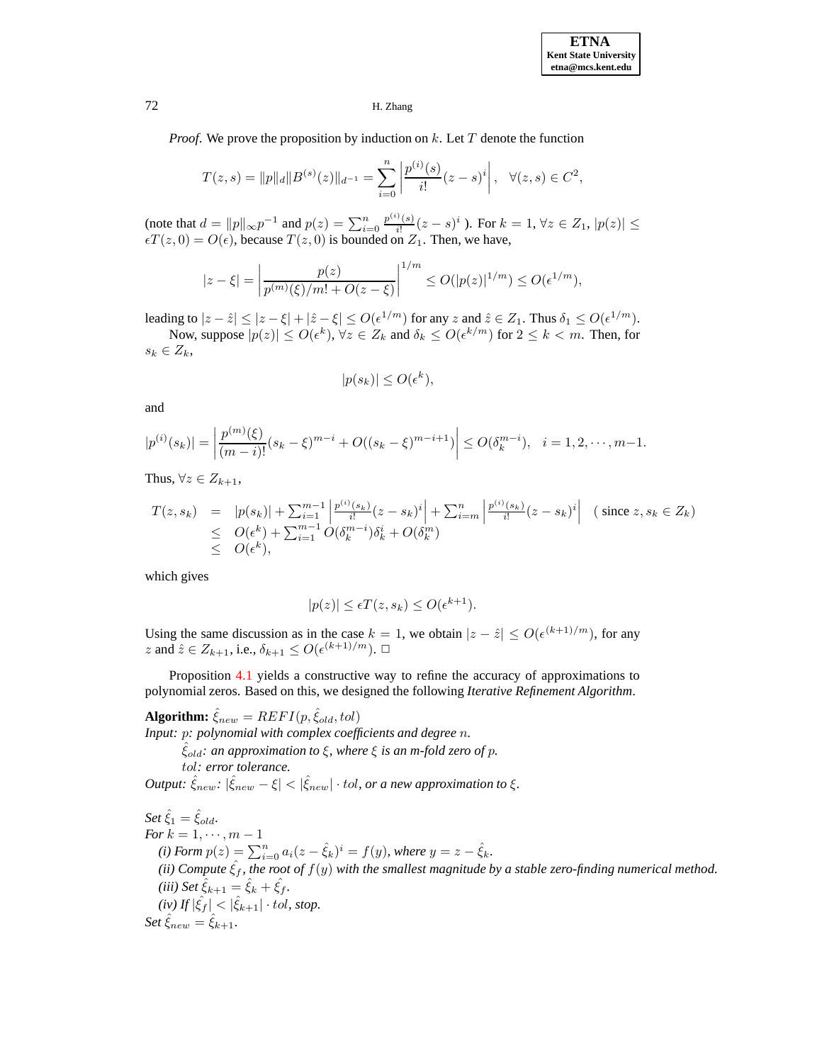*Proof.* We prove the proposition by induction on k. Let T denote the function

$$
T(z,s) = ||p||_d ||B^{(s)}(z)||_{d^{-1}} = \sum_{i=0}^n \left| \frac{p^{(i)}(s)}{i!} (z-s)^i \right|, \quad \forall (z,s) \in C^2,
$$

(note that  $d = ||p||_{\infty} p^{-1}$  and  $p(z) = \sum_{i=0}^{n} \frac{p^{(i)}(s)}{i!}$  $\frac{\partial f(s)}{\partial i}(z-s)^i$  ). For  $k = 1, \forall z \in Z_1, |p(z)| \le$  $\epsilon T(z, 0) = O(\epsilon)$ , because  $T(z, 0)$  is bounded on  $Z_1$ . Then, we have,

$$
|z-\xi| = \left|\frac{p(z)}{p^{(m)}(\xi)/m! + O(z-\xi)}\right|^{1/m} \le O(|p(z)|^{1/m}) \le O(\epsilon^{1/m}),
$$

leading to  $|z-\hat{z}|\leq |z-\xi|+|\hat{z}-\xi|\leq O(\epsilon^{1/m})$  for any  $z$  and  $\hat{z}\in Z_1$ . Thus  $\delta_1\leq O(\epsilon^{1/m})$ . Now, suppose  $|p(z)| \le O(\epsilon^k)$ ,  $\forall z \in Z_k$  and  $\delta_k \le O(\epsilon^{k/m})$  for  $2 \le k < m$ . Then, for

 $s_k \in Z_k$ 

$$
|p(s_k)| \le O(\epsilon^k),
$$

and

$$
|p^{(i)}(s_k)| = \left|\frac{p^{(m)}(\xi)}{(m-i)!}(s_k - \xi)^{m-i} + O((s_k - \xi)^{m-i+1})\right| \le O(\delta_k^{m-i}), \quad i = 1, 2, \cdots, m-1.
$$

Thus,  $\forall z \in Z_{k+1}$ ,

$$
T(z, s_k) = |p(s_k)| + \sum_{i=1}^{m-1} \left| \frac{p^{(i)}(s_k)}{i!} (z - s_k)^i \right| + \sum_{i=m}^{n} \left| \frac{p^{(i)}(s_k)}{i!} (z - s_k)^i \right| \text{ (since } z, s_k \in Z_k)
$$
  
\n
$$
\leq O(\epsilon^k) + \sum_{i=1}^{m-1} O(\delta_k^{m-i}) \delta_k^i + O(\delta_k^m)
$$
  
\n
$$
\leq O(\epsilon^k),
$$

which gives

$$
|p(z)| \le \epsilon T(z, s_k) \le O(\epsilon^{k+1}).
$$

Using the same discussion as in the case  $k = 1$ , we obtain  $|z - \hat{z}| \le O(\epsilon^{(k+1)/m})$ , for any z and  $\hat{z} \in Z_{k+1}$ , i.e.,  $\delta_{k+1} \le O(\epsilon^{(k+1)/m})$ .  $\Box$ 

Proposition [4.1](#page-5-0) yields a constructive way to refine the accuracy of approximations to polynomial zeros. Based on this, we designed the following *Iterative Refinement Algorithm*.

**Algorithm:**  $\hat{\xi}_{new} = REFI(p, \hat{\xi}_{old}, tol)$ *Input:* p*: polynomial with complex coefficients and degree* n*.* ˆξold*: an approximation to* ξ*, where* ξ *is an m-fold zero of* p*.* tol*: error tolerance.*

 $Output: \hat{\xi}_{new}: |\hat{\xi}_{new} - \xi| < |\hat{\xi}_{new}| \cdot tol$ , or a new approximation to  $\xi$ .

 $Set \hat{\xi}_1 = \hat{\xi}_{old}.$ *For*  $k = 1, \dots, m - 1$ *(i) Form*  $p(z) = \sum_{i=0}^{n} a_i(z - \hat{\xi}_k)^i = f(y)$ *, where*  $y = z - \hat{\xi}_k$ *. (ii) Compute*  $\hat{\xi}_f$ *, the root of*  $f(y)$  *with the smallest magnitude by a stable zero-finding numerical method. (iii) Set*  $\hat{\xi}_{k+1} = \hat{\xi}_k + \hat{\xi}_f$ *.*  $(iv)$  *If*  $|\hat{\xi}_f| < |\hat{\xi}_{k+1}| \cdot tol$ , *stop.*  $Set \hat{\xi}_{new} = \hat{\xi}_{k+1}.$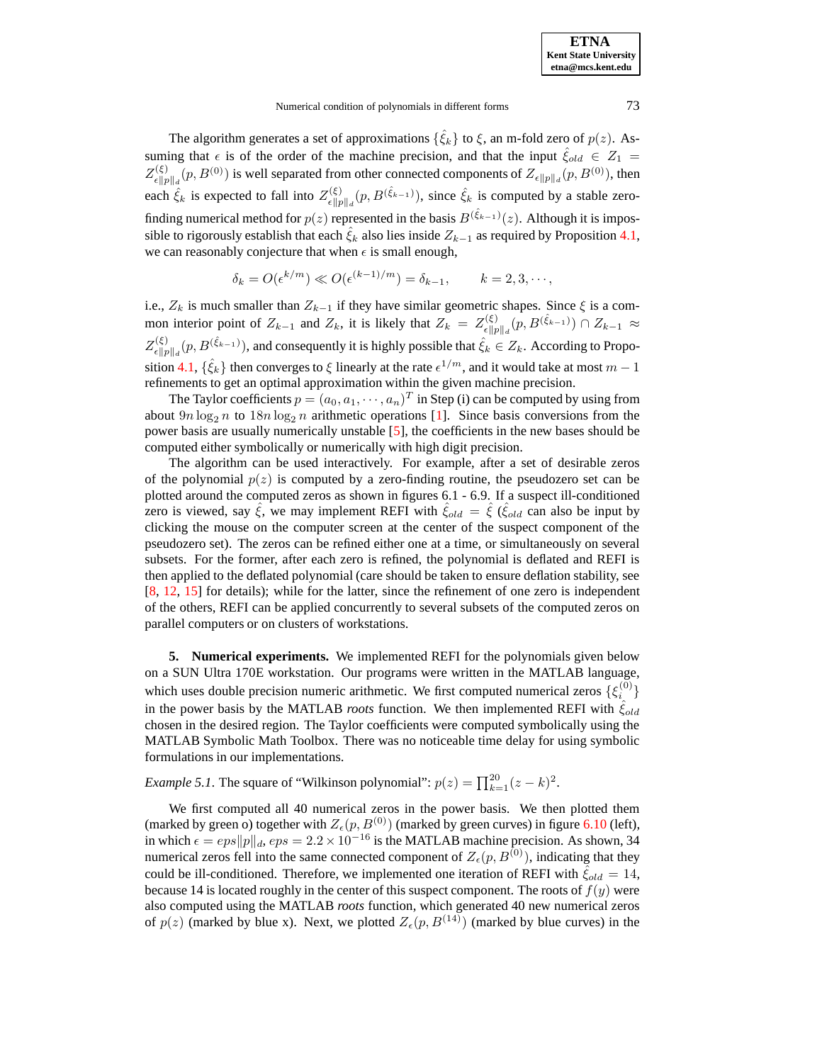The algorithm generates a set of approximations  $\{\hat{\xi}_k\}$  to  $\xi$ , an m-fold zero of  $p(z)$ . Assuming that  $\epsilon$  is of the order of the machine precision, and that the input  $\hat{\xi}_{old} \in Z_1$  =  $Z_{\epsilon\parallel r}^{(\xi)}$  $k_{\epsilon \|p\|_d}^{(\xi)}(p, B^{(0)})$  is well separated from other connected components of  $Z_{\epsilon \|p\|_d}(p, B^{(0)})$ , then each  $\hat{\xi}_k$  is expected to fall into  $Z_{\epsilon \| n}^{(\xi)}$  $\hat{\xi}_{\epsilon \| p \|_d}^{(\xi)}(p, B^{(\hat{\xi}_{k-1})})$ , since  $\hat{\xi}_k$  is computed by a stable zerofinding numerical method for  $p(z)$  represented in the basis  $B^{(\hat{\xi}_{k-1})}(z)$ . Although it is impossible to rigorously establish that each  $\hat{\xi}_k$  also lies inside  $Z_{k-1}$  as required by Proposition [4.1,](#page-5-0) we can reasonably conjecture that when  $\epsilon$  is small enough,

$$
\delta_k = O(\epsilon^{k/m}) \ll O(\epsilon^{(k-1)/m}) = \delta_{k-1}, \qquad k = 2, 3, \cdots,
$$

i.e.,  $Z_k$  is much smaller than  $Z_{k-1}$  if they have similar geometric shapes. Since  $\xi$  is a common interior point of  $Z_{k-1}$  and  $Z_k$ , it is likely that  $Z_k = Z_{\epsilon \parallel n}^{(\xi)}$  $\chi_{\epsilon \|p\|_d}^{(\xi)}(p,B^{(\hat{\xi}_{k-1})}) \cap Z_{k-1} \approx$  $Z_{\epsilon\parallel r}^{(\xi)}$  $\hat{\xi}_{k}^{(\xi)}(n, B^{(\hat{\xi}_{k-1})})$ , and consequently it is highly possible that  $\hat{\xi}_k \in Z_k$ . According to Propo-sition [4.1,](#page-5-0)  $\{\hat{\xi}_k\}$  then converges to  $\xi$  linearly at the rate  $\epsilon^{1/m}$ , and it would take at most  $m-1$ refinements to get an optimal approximation within the given machine precision.

The Taylor coefficients  $p = (a_0, a_1, \dots, a_n)^T$  in Step (i) can be computed by using from about  $9n \log_2 n$  to  $18n \log_2 n$  arithmetic operations [\[1\]](#page-10-11). Since basis conversions from the power basis are usually numerically unstable [\[5\]](#page-10-6), the coefficients in the new bases should be computed either symbolically or numerically with high digit precision.

The algorithm can be used interactively. For example, after a set of desirable zeros of the polynomial  $p(z)$  is computed by a zero-finding routine, the pseudozero set can be plotted around the computed zeros as shown in figures 6.1 - 6.9. If a suspect ill-conditioned zero is viewed, say  $\hat{\xi}$ , we may implement REFI with  $\hat{\xi}_{old} = \hat{\xi}$  ( $\hat{\xi}_{old}$  can also be input by clicking the mouse on the computer screen at the center of the suspect component of the pseudozero set). The zeros can be refined either one at a time, or simultaneously on several subsets. For the former, after each zero is refined, the polynomial is deflated and REFI is then applied to the deflated polynomial (care should be taken to ensure deflation stability, see [\[8,](#page-10-12) [12,](#page-10-13) [15\]](#page-10-3) for details); while for the latter, since the refinement of one zero is independent of the others, REFI can be applied concurrently to several subsets of the computed zeros on parallel computers or on clusters of workstations.

**5. Numerical experiments.** We implemented REFI for the polynomials given below on a SUN Ultra 170E workstation. Our programs were written in the MATLAB language, which uses double precision numeric arithmetic. We first computed numerical zeros  $\{\xi_i^{(0)}\}$  $\binom{0}{i}$ in the power basis by the MATLAB *roots* function. We then implemented REFI with  $\hat{\xi}_{old}$ chosen in the desired region. The Taylor coefficients were computed symbolically using the MATLAB Symbolic Math Toolbox. There was no noticeable time delay for using symbolic formulations in our implementations.

*Example* 5.1. The square of "Wilkinson polynomial":  $p(z) = \prod_{k=1}^{20} (z - k)^2$ .

We first computed all 40 numerical zeros in the power basis. We then plotted them (marked by green o) together with  $Z_{\epsilon}(p, B^{(0)})$  (marked by green curves) in figure [6.10](#page-20-0) (left), in which  $\epsilon = eps||p||_d$ ,  $eps = 2.2 \times 10^{-16}$  is the MATLAB machine precision. As shown, 34 numerical zeros fell into the same connected component of  $Z_{\epsilon}(p, B^{(0)})$ , indicating that they could be ill-conditioned. Therefore, we implemented one iteration of REFI with  $\xi_{old} = 14$ , because 14 is located roughly in the center of this suspect component. The roots of  $f(y)$  were also computed using the MATLAB *roots* function, which generated 40 new numerical zeros of  $p(z)$  (marked by blue x). Next, we plotted  $Z_{\epsilon}(p, B^{(14)})$  (marked by blue curves) in the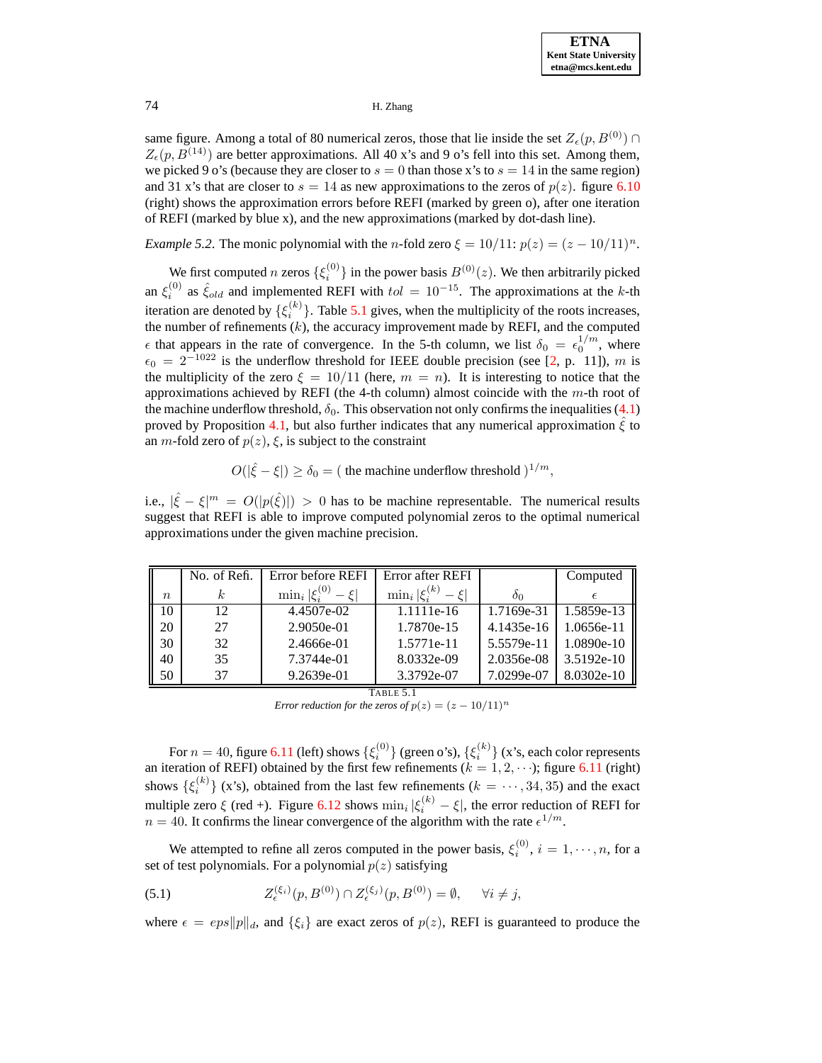same figure. Among a total of 80 numerical zeros, those that lie inside the set  $Z_{\epsilon}(p, B^{(0)}) \cap$  $Z_{\epsilon}(p, B^{(14)})$  are better approximations. All 40 x's and 9 o's fell into this set. Among them, we picked 9 o's (because they are closer to  $s = 0$  than those x's to  $s = 14$  in the same region) and 31 x's that are closer to  $s = 14$  as new approximations to the zeros of  $p(z)$ . figure [6.10](#page-20-0) (right) shows the approximation errors before REFI (marked by green o), after one iteration of REFI (marked by blue x), and the new approximations (marked by dot-dash line).

*Example* 5.2. The monic polynomial with the n-fold zero  $\xi = 10/11$ :  $p(z) = (z - 10/11)^n$ .

We first computed *n* zeros  $\{\xi_i^{(0)}\}$  $\binom{0}{i}$  in the power basis  $B^{(0)}(z)$ . We then arbitrarily picked an  $\xi_i^{(0)}$  as  $\hat{\xi}_{old}$  and implemented REFI with  $tol = 10^{-15}$ . The approximations at the k-th iteration are denoted by  $\{\xi_i^{(k)}\}\$ . Table [5.1](#page-8-0) gives, when the multiplicity of the roots increases, the number of refinements  $(k)$ , the accuracy improvement made by REFI, and the computed  $\epsilon$  that appears in the rate of convergence. In the 5-th column, we list  $\delta_0 = \epsilon_0^{1/m}$ , where  $\epsilon_0 = 2^{-1022}$  is the underflow threshold for IEEE double precision (see [\[2,](#page-10-14) p. 11]), m is the multiplicity of the zero  $\xi = 10/11$  (here,  $m = n$ ). It is interesting to notice that the approximations achieved by REFI (the 4-th column) almost coincide with the  $m$ -th root of the machine underflow threshold,  $\delta_0$ . This observation not only confirms the inequalities [\(4.1\)](#page-5-1) proved by Proposition [4.1,](#page-5-0) but also further indicates that any numerical approximation  $\xi$  to an *m*-fold zero of  $p(z)$ ,  $\xi$ , is subject to the constraint

# $O(|\hat{\xi} - \xi|) \ge \delta_0 = ($  the machine underflow threshold  $)^{1/m}$ ,

i.e.,  $|\hat{\xi} - \xi|^m = O(|p(\hat{\xi})|) > 0$  has to be machine representable. The numerical results suggest that REFI is able to improve computed polynomial zeros to the optimal numerical approximations under the given machine precision.

|             | No. of Refi. | Error before REFI      | Error after REFI                 |            | Computed     |
|-------------|--------------|------------------------|----------------------------------|------------|--------------|
| $n_{\rm c}$ | k.           | $\min_i \xi_i^{(0)}$ - | $\min_i  \xi_i^{(k)} $<br>$ \xi$ | $\delta_0$ | €            |
| 10          | 12           | 4.4507e-02             | 1.1111e-16                       | 1.7169e-31 | 1.5859e-13   |
| 20          | 27           | 2.9050e-01             | 1.7870e-15                       | 4.1435e-16 | 1.0656e-11   |
| 30          | 32           | 2.4666e-01             | 1.5771e-11                       | 5.5579e-11 | $1.0890e-10$ |
| 40          | 35           | 7.3744e-01             | 8.0332e-09                       | 2.0356e-08 | 3.5192e-10   |
| 50          | 37           | 9.2639e-01             | 3.3792e-07                       | 7.0299e-07 | 8.0302e-10   |

TABLE 5.1

*Error reduction for the zeros of*  $p(z) = (z - 10/11)^n$ 

<span id="page-8-0"></span>For  $n=40$ , figure [6.11](#page-20-1) (left) shows  $\{\xi_i^{(0)}\}$  (green o's),  $\{\xi_i^{(k)}\}$  (x's, each color represents an iteration of REFI) obtained by the first few refinements ( $k = 1, 2, \dots$ ); figure [6.11](#page-20-1) (right) shows  $\{\xi_i^{(k)}\}$  (x's), obtained from the last few refinements ( $k = \cdots, 34, 35$ ) and the exact multiple zero  $\xi$  (red +). Figure [6.12](#page-21-0) shows  $\min_i |\xi_i^{(k)} - \xi|$ , the error reduction of REFI for  $n = 40$ . It confirms the linear convergence of the algorithm with the rate  $\epsilon^{1/m}$ .

We attempted to refine all zeros computed in the power basis,  $\xi_i^{(0)}$ ,  $i = 1, \dots, n$ , for a set of test polynomials. For a polynomial  $p(z)$  satisfying

<span id="page-8-1"></span>(5.1) 
$$
Z_{\epsilon}^{(\xi_i)}(p, B^{(0)}) \cap Z_{\epsilon}^{(\xi_j)}(p, B^{(0)}) = \emptyset, \quad \forall i \neq j,
$$

where  $\epsilon = eps||p||_d$ , and  $\{\xi_i\}$  are exact zeros of  $p(z)$ , REFI is guaranteed to produce the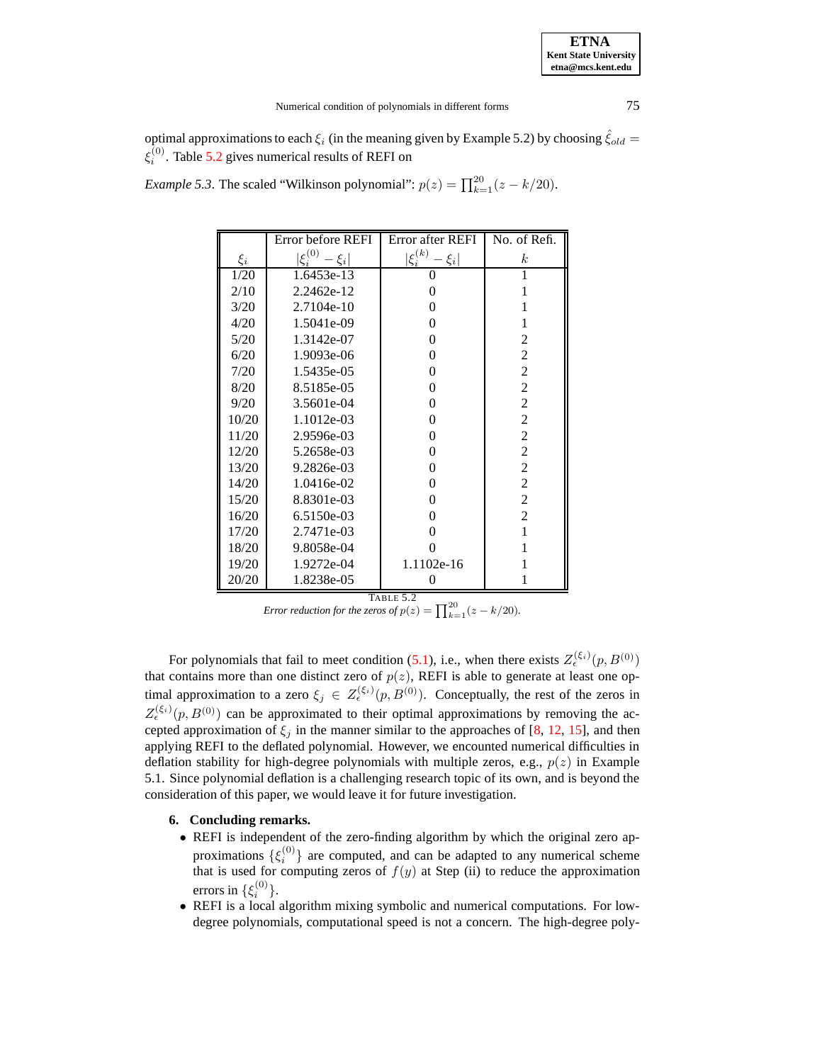optimal approximations to each  $\xi_i$  (in the meaning given by Example 5.2) by choosing  $\hat{\xi}_{old}$  =  $\xi_i^{(0)}$ . Table [5.2](#page-9-0) gives numerical results of REFI on

|  | <i>Example 5.3.</i> The scaled "Wilkinson polynomial": $p(z) = \prod_{k=1}^{20} (z - k/20)$ . |  |
|--|-----------------------------------------------------------------------------------------------|--|
|--|-----------------------------------------------------------------------------------------------|--|

|         | Error before REFI                           | Error after REFI                       | No. of Refi.     |
|---------|---------------------------------------------|----------------------------------------|------------------|
| $\xi_i$ | $\zeta_i^{(0)}$<br>- $\left. \xi_i \right $ | $\underline{\xi}_i^{(k)}$<br>$ \xi_i $ | $\boldsymbol{k}$ |
| 1/20    | 1.6453e-13                                  | 0                                      | 1                |
| 2/10    | 2.2462e-12                                  | 0                                      | 1                |
| 3/20    | 2.7104e-10                                  | 0                                      | 1                |
| 4/20    | 1.5041e-09                                  | 0                                      | 1                |
| 5/20    | 1.3142e-07                                  | 0                                      | 2                |
| 6/20    | 1.9093e-06                                  | 0                                      | $\mathfrak{2}$   |
| 7/20    | 1.5435e-05                                  | 0                                      | $\overline{c}$   |
| 8/20    | 8.5185e-05                                  | 0                                      | $\overline{2}$   |
| 9/20    | 3.5601e-04                                  | 0                                      | $\overline{2}$   |
| 10/20   | 1.1012e-03                                  | 0                                      | $\overline{c}$   |
| 11/20   | 2.9596e-03                                  | 0                                      | $\overline{c}$   |
| 12/20   | 5.2658e-03                                  | 0                                      | $\overline{c}$   |
| 13/20   | 9.2826e-03                                  | 0                                      | $\overline{2}$   |
| 14/20   | 1.0416e-02                                  | 0                                      | $\overline{2}$   |
| 15/20   | 8.8301e-03                                  | 0                                      | $\overline{2}$   |
| 16/20   | 6.5150e-03                                  | 0                                      | $\overline{2}$   |
| 17/20   | 2.7471e-03                                  | 0                                      | 1                |
| 18/20   | 9.8058e-04                                  |                                        | 1                |
| 19/20   | 1.9272e-04                                  | 1.1102e-16                             |                  |
| 20/20   | 1.8238e-05                                  | 0                                      |                  |

TABLE 5.2

*Error reduction for the zeros of*  $p(z) = \prod_{k=1}^{20} (z - k/20)$ *.* 

<span id="page-9-0"></span>For polynomials that fail to meet condition [\(5.1\)](#page-8-1), i.e., when there exists  $Z_{\epsilon}^{(\xi_i)}(p, B^{(0)})$ that contains more than one distinct zero of  $p(z)$ , REFI is able to generate at least one optimal approximation to a zero  $\xi_j \in Z_{\epsilon}^{(\xi_i)}(p, B^{(0)})$ . Conceptually, the rest of the zeros in  $Z_{\epsilon}^{(\xi_i)}(p, B^{(0)})$  can be approximated to their optimal approximations by removing the accepted approximation of  $\xi_j$  in the manner similar to the approaches of [\[8,](#page-10-12) [12,](#page-10-13) [15\]](#page-10-3), and then applying REFI to the deflated polynomial. However, we encounted numerical difficulties in deflation stability for high-degree polynomials with multiple zeros, e.g.,  $p(z)$  in Example 5.1. Since polynomial deflation is a challenging research topic of its own, and is beyond the consideration of this paper, we would leave it for future investigation.

## **6. Concluding remarks.**

- REFI is independent of the zero-finding algorithm by which the original zero approximations  $\{\xi_i^{(0)}\}$  $\binom{10}{i}$  are computed, and can be adapted to any numerical scheme that is used for computing zeros of  $f(y)$  at Step (ii) to reduce the approximation errors in  $\{\xi_i^{(0)}\}.$
- REFI is a local algorithm mixing symbolic and numerical computations. For lowdegree polynomials, computational speed is not a concern. The high-degree poly-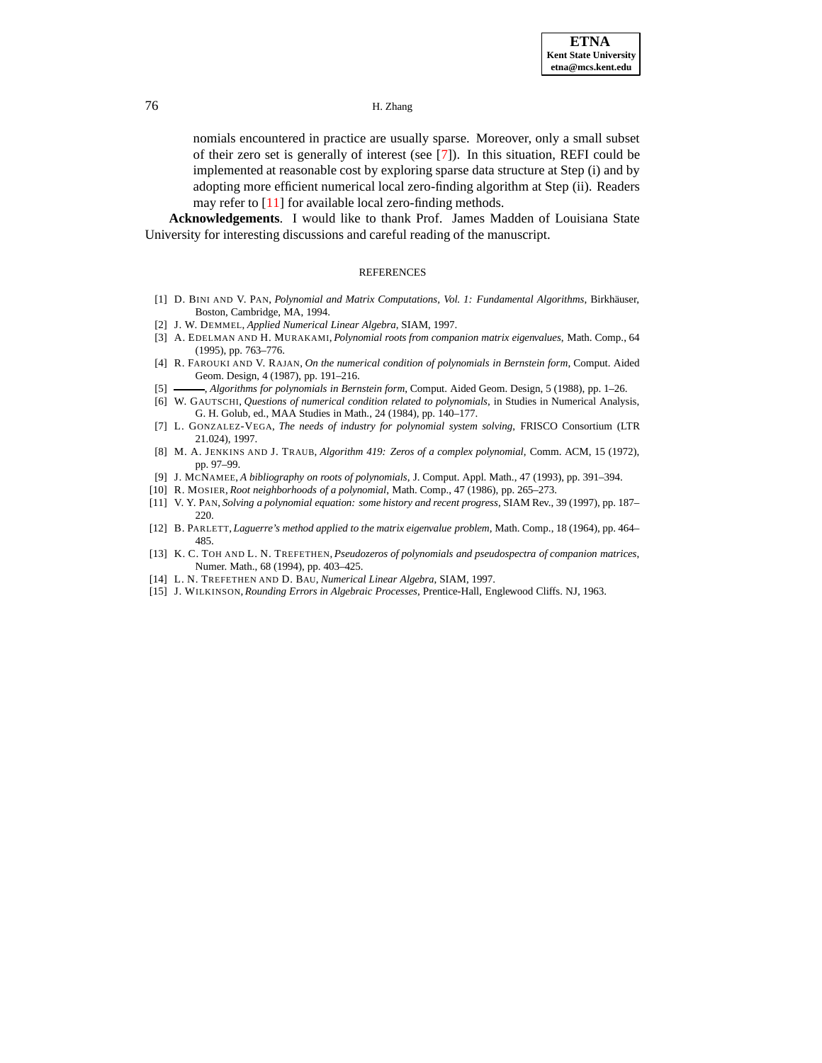nomials encountered in practice are usually sparse. Moreover, only a small subset of their zero set is generally of interest (see [\[7\]](#page-10-0)). In this situation, REFI could be implemented at reasonable cost by exploring sparse data structure at Step (i) and by adopting more efficient numerical local zero-finding algorithm at Step (ii). Readers may refer to [\[11\]](#page-10-2) for available local zero-finding methods.

**Acknowledgements**. I would like to thank Prof. James Madden of Louisiana State University for interesting discussions and careful reading of the manuscript.

#### REFERENCES

- <span id="page-10-14"></span><span id="page-10-11"></span>[1] D. BINI AND V. PAN, *Polynomial and Matrix Computations, Vol. 1: Fundamental Algorithms, Birkhäuser,* Boston, Cambridge, MA, 1994.
- [2] J. W. DEMMEL, *Applied Numerical Linear Algebra*, SIAM, 1997.
- <span id="page-10-7"></span>[3] A. EDELMAN AND H. MURAKAMI, *Polynomial roots from companion matrix eigenvalues*, Math. Comp., 64 (1995), pp. 763–776.
- <span id="page-10-6"></span><span id="page-10-5"></span>[4] R. FAROUKI AND V. RAJAN, *On the numerical condition of polynomials in Bernstein form*, Comput. Aided Geom. Design, 4 (1987), pp. 191–216.
- [5] , *Algorithms for polynomials in Bernstein form*, Comput. Aided Geom. Design, 5 (1988), pp. 1–26.
- <span id="page-10-4"></span>[6] W. GAUTSCHI, *Questions of numerical condition related to polynomials*, in Studies in Numerical Analysis, G. H. Golub, ed., MAA Studies in Math., 24 (1984), pp. 140–177.
- <span id="page-10-0"></span>[7] L. GONZALEZ-VEGA, *The needs of industry for polynomial system solving*, FRISCO Consortium (LTR 21.024), 1997.
- <span id="page-10-12"></span>[8] M. A. JENKINS AND J. TRAUB, *Algorithm 419: Zeros of a complex polynomial*, Comm. ACM, 15 (1972), pp. 97–99.
- [9] J. MCNAMEE, *A bibliography on roots of polynomials*, J. Comput. Appl. Math., 47 (1993), pp. 391–394.
- <span id="page-10-8"></span><span id="page-10-2"></span><span id="page-10-1"></span>[10] R. MOSIER, *Root neighborhoods of a polynomial*, Math. Comp., 47 (1986), pp. 265–273.
- <span id="page-10-13"></span>[11] V. Y. PAN, *Solving a polynomial equation: some history and recent progress*, SIAM Rev., 39 (1997), pp. 187– 220.
- <span id="page-10-9"></span>[12] B. PARLETT, *Laguerre's method applied to the matrix eigenvalue problem*, Math. Comp., 18 (1964), pp. 464– 485.
- [13] K. C. TOH AND L. N. TREFETHEN, *Pseudozeros of polynomials and pseudospectra of companion matrices*, Numer. Math., 68 (1994), pp. 403–425.
- <span id="page-10-10"></span><span id="page-10-3"></span>[14] L. N. TREFETHEN AND D. BAU, *Numerical Linear Algebra*, SIAM, 1997.
- [15] J. WILKINSON,*Rounding Errors in Algebraic Processes*, Prentice-Hall, Englewood Cliffs. NJ, 1963.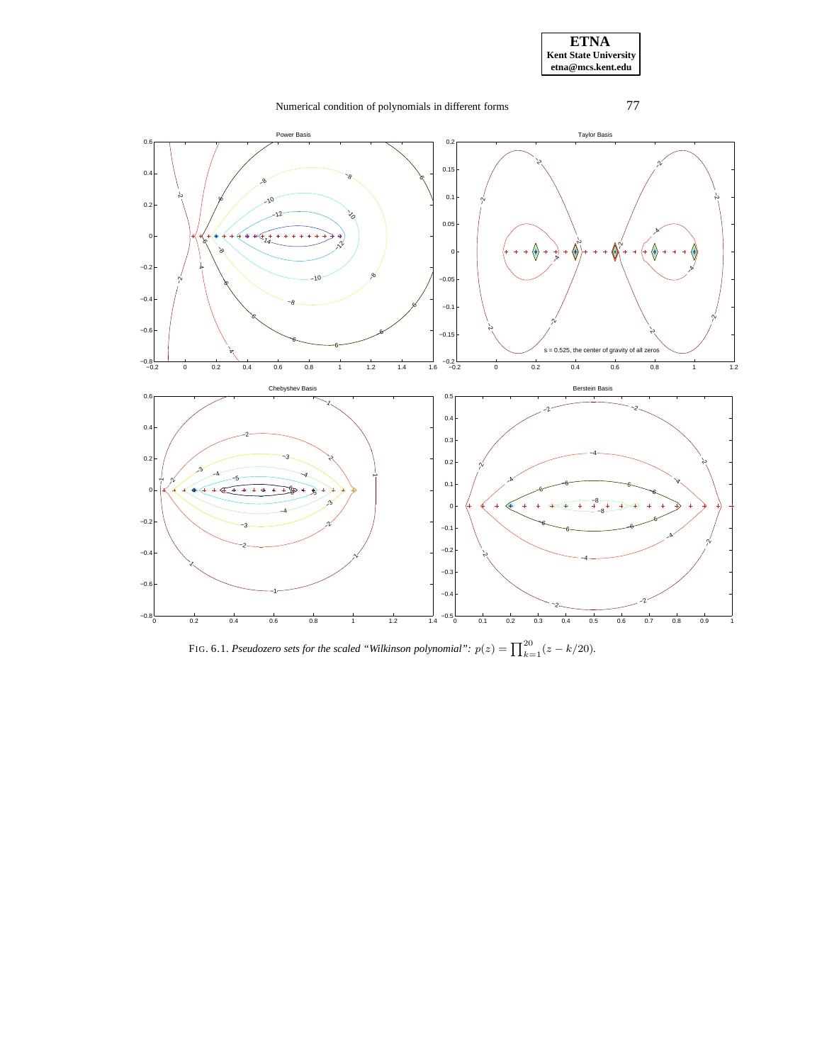

FIG. 6.1. *Pseudozero sets for the scaled* "Wilkinson polynomial":  $p(z) = \prod_{k=1}^{20} (z - k/20)$ *.*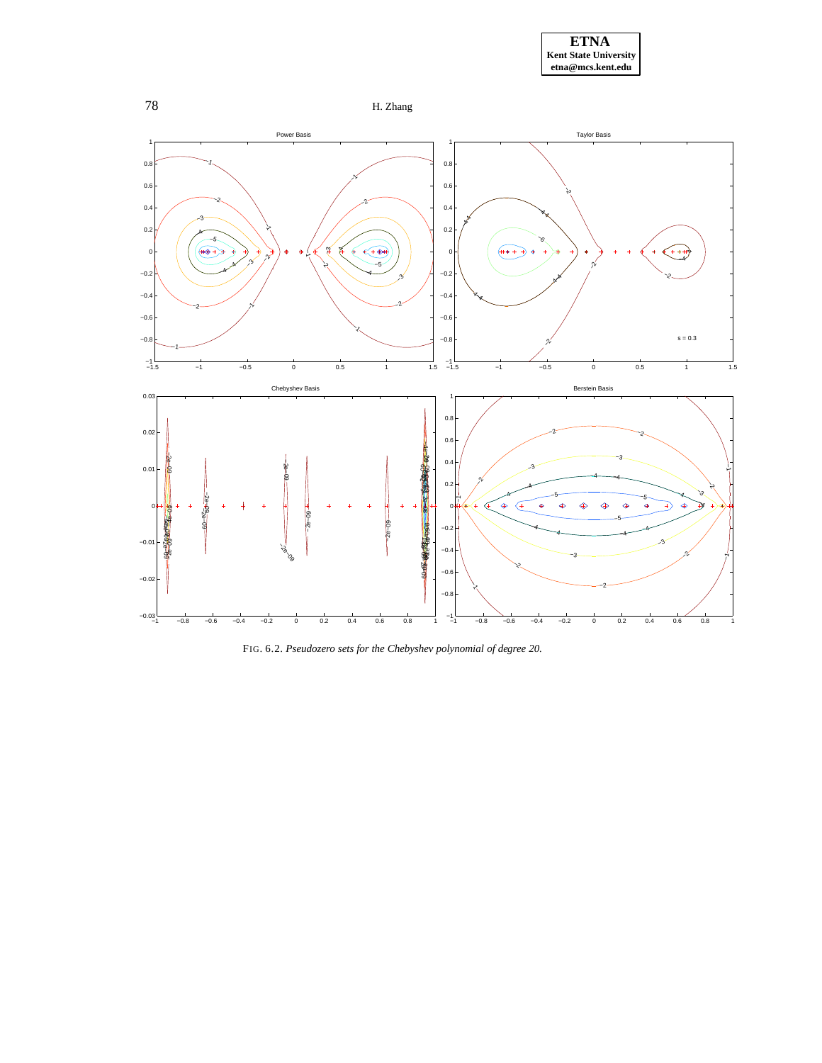





FIG. 6.2. *Pseudozero sets for the Chebyshev polynomial of degree 20.*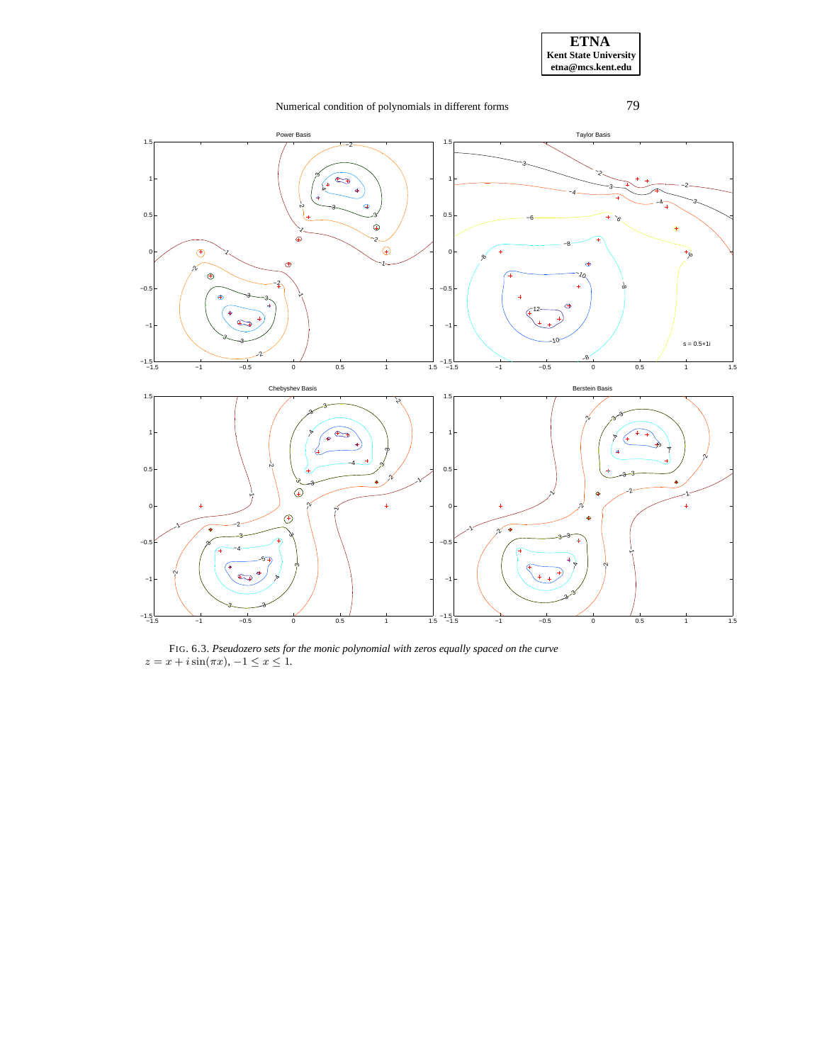

FIG. 6.3. *Pseudozero sets for the monic polynomial with zeros equally spaced on the curve*  $z = x + i \sin(\pi x), -1 \le x \le 1.$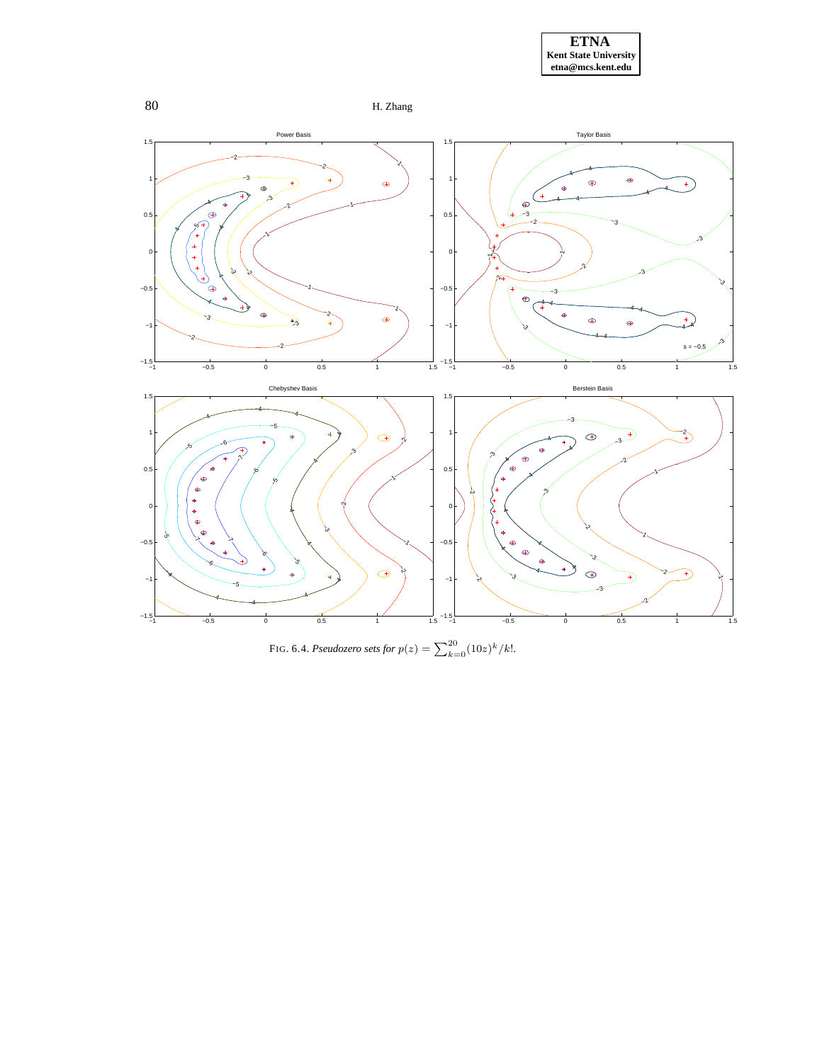





FIG. 6.4. *Pseudozero sets for*  $p(z) = \sum_{k=0}^{20} (10z)^k / k!$ .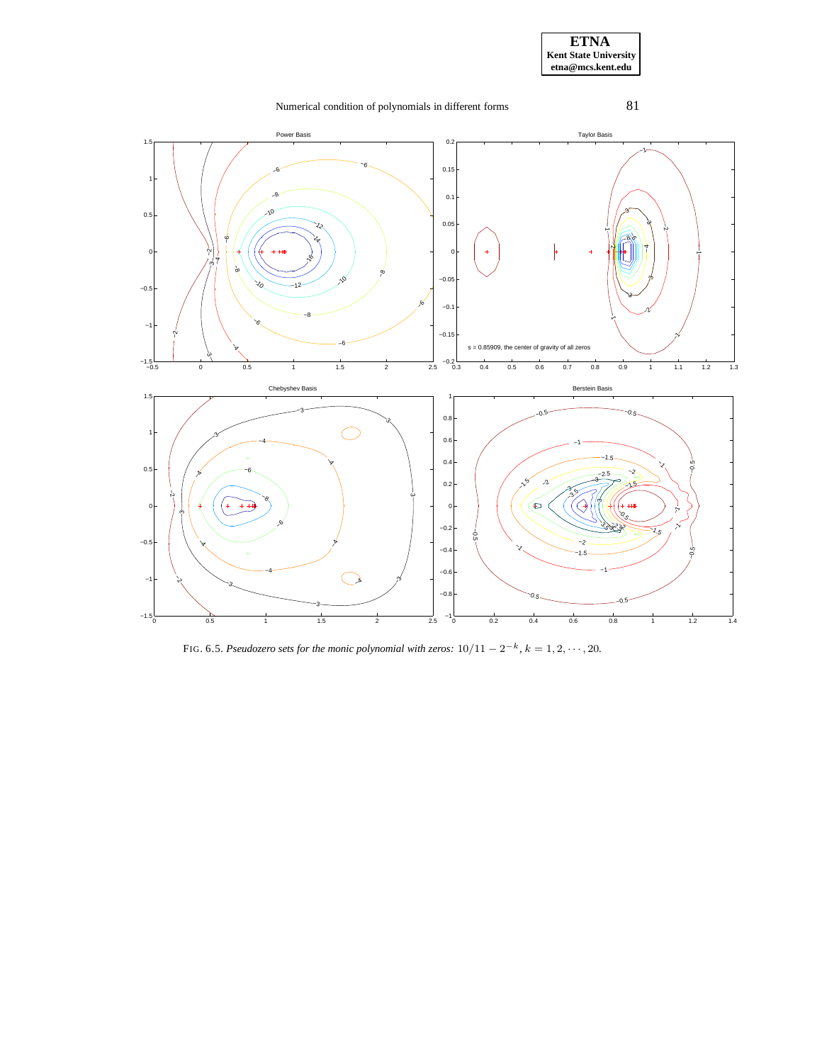

FIG. 6.5. Pseudozero sets for the monic polynomial with zeros:  $10/11 - 2^{-k}$ ,  $k = 1, 2, \cdots, 20$ .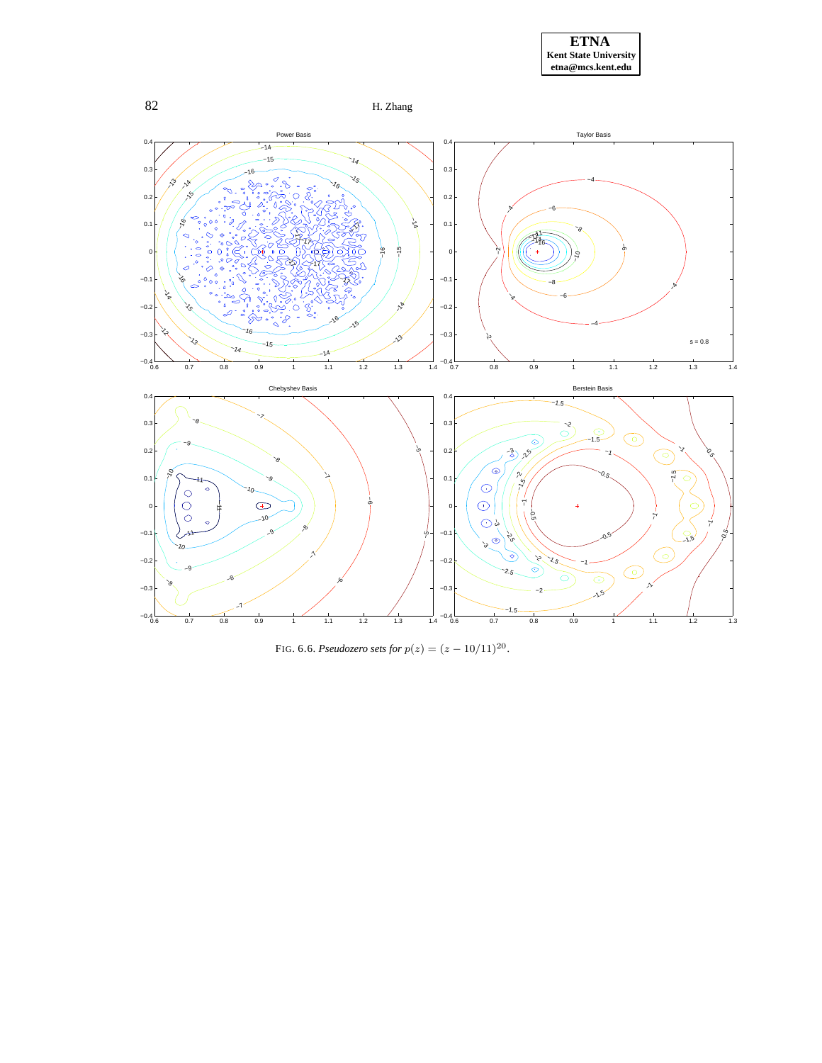



FIG. 6.6. *Pseudozero sets for*  $p(z) = (z - 10/11)^{20}$ .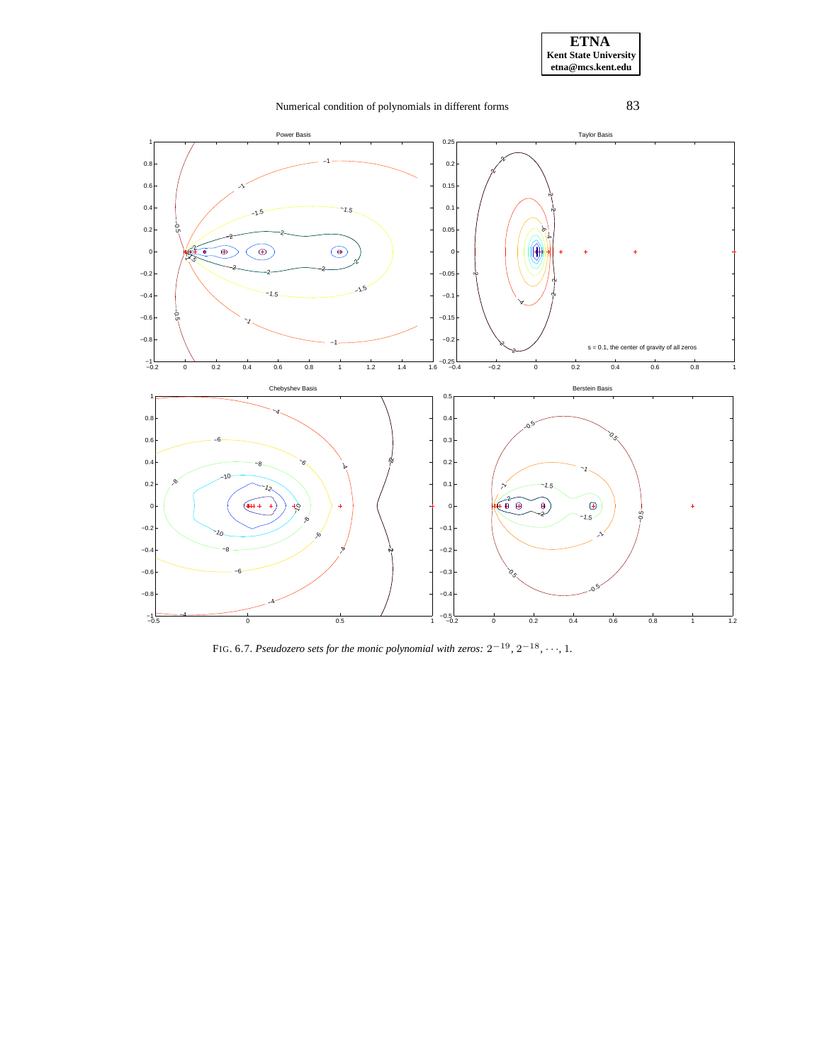

FIG. 6.7. *Pseudozero sets for the monic polynomial with zeros:*  $2^{-19}$ ,  $2^{-18}$ ,  $\cdots$ , 1.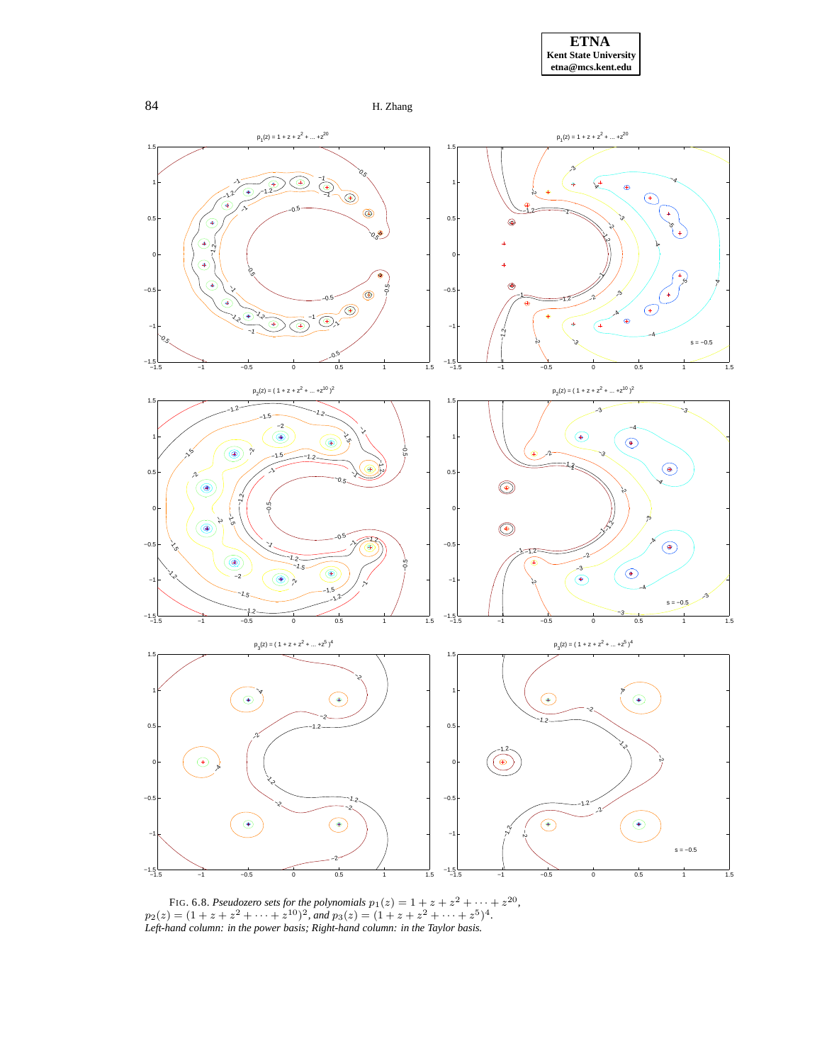





FIG. 6.8. *Pseudozero sets for the polynomials*  $p_1(z) = 1 + z + z^2 + \cdots + z^{20}$ ,  $p_2(z) = (1 + z + z^2 + \dots + z^{10})^2$ , and  $p_3(z) = (1 + z + z^2 + \dots + z^5)^4$ . *Left-hand column: in the power basis; Right-hand column: in the Taylor basis.*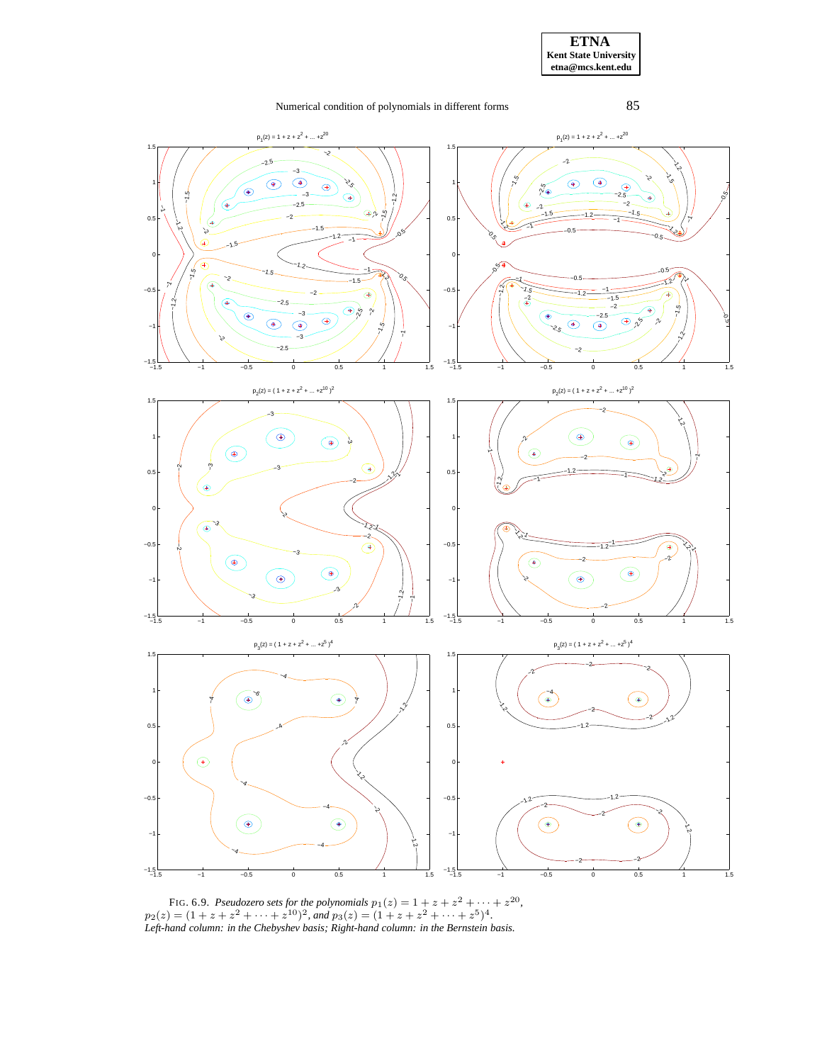

FIG. 6.9. *Pseudozero sets for the polynomials*  $p_1(z) = 1 + z + z^2 + \cdots + z^{20}$ ,  $p_2(z) = (1 + z + z^2 + \dots + z^{10})^2$ , and  $p_3(z) = (1 + z + z^2 + \dots + z^5)^4$ . *Left-hand column: in the Chebyshev basis; Right-hand column: in the Bernstein basis.*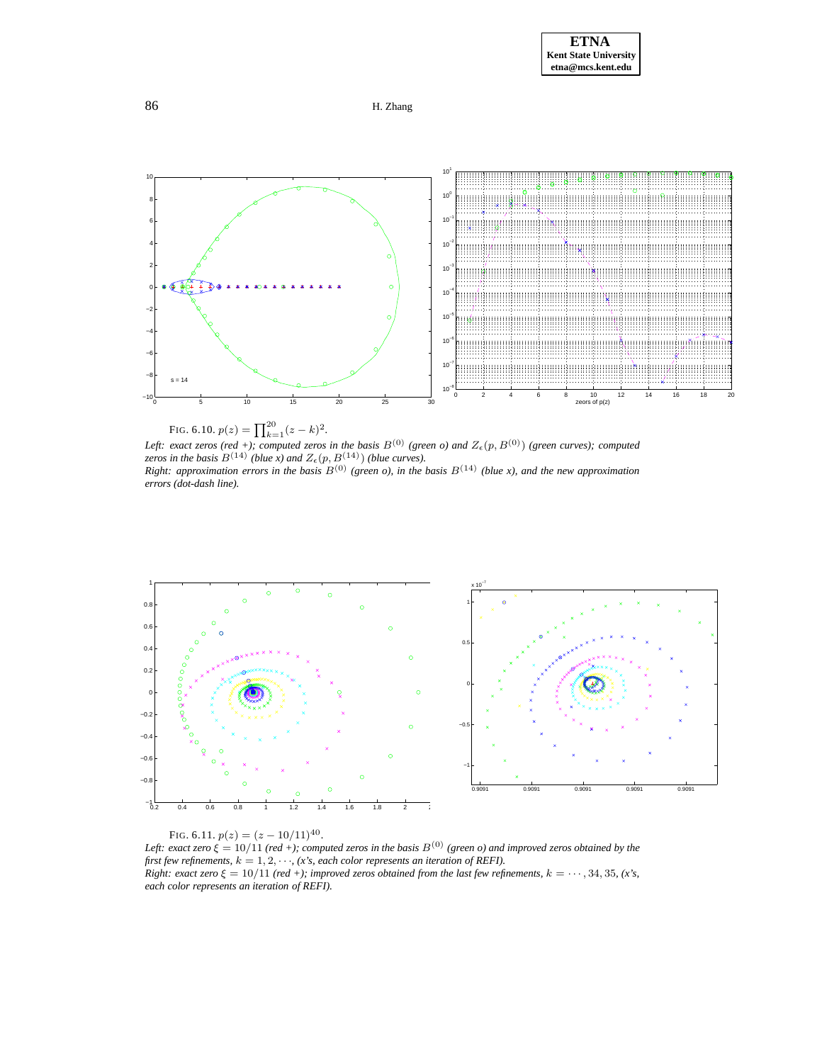





<span id="page-20-0"></span>*Left: exact zeros* (red +); *computed zeros in* the *basis*  $B^{(0)}$  (green *o*) and  $Z_{\epsilon}(p, B^{(0)})$  (green *curves*); *computed zeros in the basis*  $B^{(14)}$  *(blue x) and*  $Z_{\epsilon}(p, B^{(14)})$  *(blue curves).* Right: approximation errors in the basis  $B^{(0)}$  (green o), in the basis  $B^{(14)}$  (blue x), and the new approximation *errors (dot-dash line).*



<span id="page-20-1"></span>